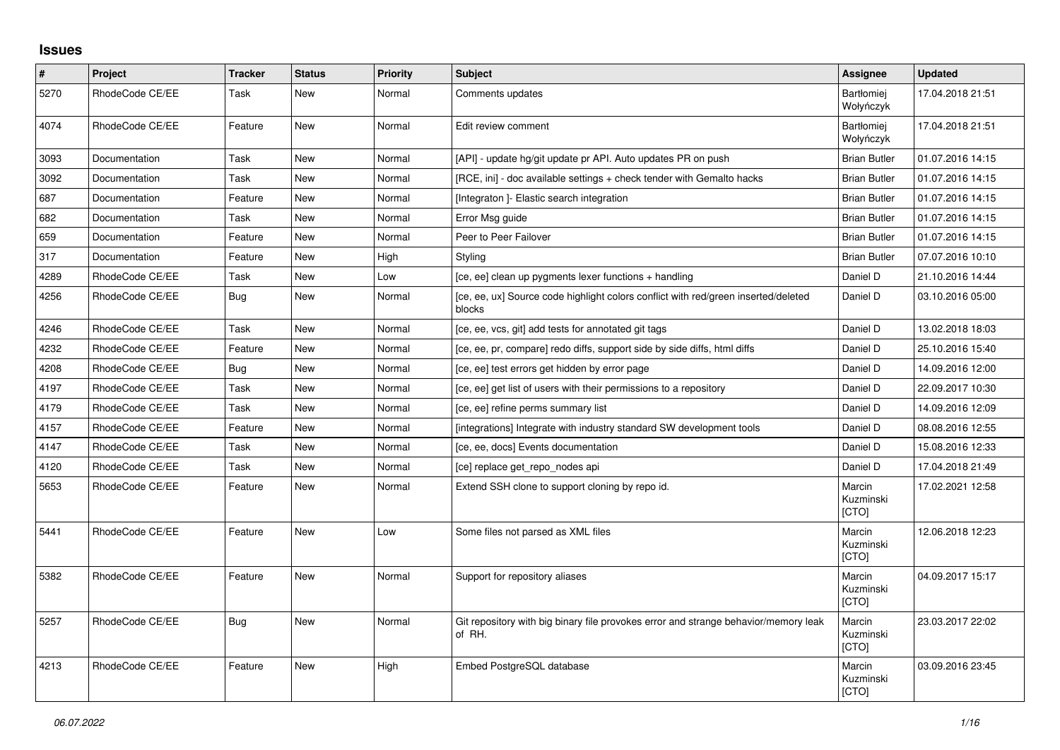## **Issues**

| $\pmb{\#}$ | Project         | <b>Tracker</b> | <b>Status</b> | <b>Priority</b> | <b>Subject</b>                                                                                | Assignee                            | <b>Updated</b>   |
|------------|-----------------|----------------|---------------|-----------------|-----------------------------------------------------------------------------------------------|-------------------------------------|------------------|
| 5270       | RhodeCode CE/EE | Task           | New           | Normal          | Comments updates                                                                              | Bartłomiej<br>Wołyńczyk             | 17.04.2018 21:51 |
| 4074       | RhodeCode CE/EE | Feature        | <b>New</b>    | Normal          | Edit review comment                                                                           | Bartłomiej<br>Wołyńczyk             | 17.04.2018 21:51 |
| 3093       | Documentation   | Task           | New           | Normal          | [API] - update hg/git update pr API. Auto updates PR on push                                  | <b>Brian Butler</b>                 | 01.07.2016 14:15 |
| 3092       | Documentation   | Task           | <b>New</b>    | Normal          | [RCE, ini] - doc available settings + check tender with Gemalto hacks                         | <b>Brian Butler</b>                 | 01.07.2016 14:15 |
| 687        | Documentation   | Feature        | <b>New</b>    | Normal          | [Integraton] - Elastic search integration                                                     | <b>Brian Butler</b>                 | 01.07.2016 14:15 |
| 682        | Documentation   | Task           | <b>New</b>    | Normal          | Error Msg guide                                                                               | <b>Brian Butler</b>                 | 01.07.2016 14:15 |
| 659        | Documentation   | Feature        | New           | Normal          | Peer to Peer Failover                                                                         | <b>Brian Butler</b>                 | 01.07.2016 14:15 |
| 317        | Documentation   | Feature        | <b>New</b>    | High            | Styling                                                                                       | <b>Brian Butler</b>                 | 07.07.2016 10:10 |
| 4289       | RhodeCode CE/EE | Task           | <b>New</b>    | Low             | [ce, ee] clean up pygments lexer functions + handling                                         | Daniel D                            | 21.10.2016 14:44 |
| 4256       | RhodeCode CE/EE | Bug            | <b>New</b>    | Normal          | [ce, ee, ux] Source code highlight colors conflict with red/green inserted/deleted<br>blocks  | Daniel D                            | 03.10.2016 05:00 |
| 4246       | RhodeCode CE/EE | Task           | <b>New</b>    | Normal          | [ce, ee, vcs, git] add tests for annotated git tags                                           | Daniel D                            | 13.02.2018 18:03 |
| 4232       | RhodeCode CE/EE | Feature        | <b>New</b>    | Normal          | [ce, ee, pr, compare] redo diffs, support side by side diffs, html diffs                      | Daniel D                            | 25.10.2016 15:40 |
| 4208       | RhodeCode CE/EE | Bug            | New           | Normal          | [ce, ee] test errors get hidden by error page                                                 | Daniel D                            | 14.09.2016 12:00 |
| 4197       | RhodeCode CE/EE | Task           | <b>New</b>    | Normal          | [ce, ee] get list of users with their permissions to a repository                             | Daniel D                            | 22.09.2017 10:30 |
| 4179       | RhodeCode CE/EE | Task           | <b>New</b>    | Normal          | [ce, ee] refine perms summary list                                                            | Daniel D                            | 14.09.2016 12:09 |
| 4157       | RhodeCode CE/EE | Feature        | <b>New</b>    | Normal          | [integrations] Integrate with industry standard SW development tools                          | Daniel D                            | 08.08.2016 12:55 |
| 4147       | RhodeCode CE/EE | Task           | New           | Normal          | [ce, ee, docs] Events documentation                                                           | Daniel D                            | 15.08.2016 12:33 |
| 4120       | RhodeCode CE/EE | Task           | <b>New</b>    | Normal          | [ce] replace get_repo_nodes api                                                               | Daniel D                            | 17.04.2018 21:49 |
| 5653       | RhodeCode CE/EE | Feature        | New           | Normal          | Extend SSH clone to support cloning by repo id.                                               | Marcin<br>Kuzminski<br>[CTO]        | 17.02.2021 12:58 |
| 5441       | RhodeCode CE/EE | Feature        | <b>New</b>    | Low             | Some files not parsed as XML files                                                            | Marcin<br>Kuzminski<br><b>[CTO]</b> | 12.06.2018 12:23 |
| 5382       | RhodeCode CE/EE | Feature        | <b>New</b>    | Normal          | Support for repository aliases                                                                | Marcin<br>Kuzminski<br>[CTO]        | 04.09.2017 15:17 |
| 5257       | RhodeCode CE/EE | Bug            | <b>New</b>    | Normal          | Git repository with big binary file provokes error and strange behavior/memory leak<br>of RH. | Marcin<br>Kuzminski<br>[CTO]        | 23.03.2017 22:02 |
| 4213       | RhodeCode CE/EE | Feature        | New           | High            | Embed PostgreSQL database                                                                     | Marcin<br>Kuzminski<br>[CTO]        | 03.09.2016 23:45 |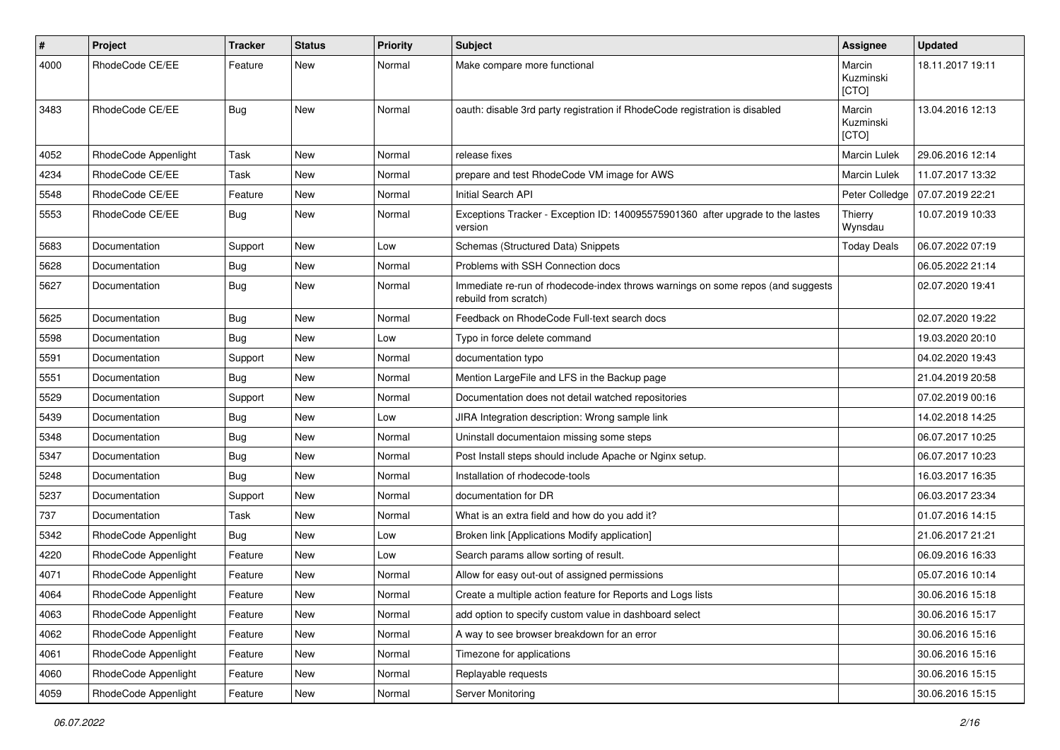| $\#$ | Project              | Tracker    | <b>Status</b> | <b>Priority</b> | <b>Subject</b>                                                                                           | Assignee                     | <b>Updated</b>   |
|------|----------------------|------------|---------------|-----------------|----------------------------------------------------------------------------------------------------------|------------------------------|------------------|
| 4000 | RhodeCode CE/EE      | Feature    | New           | Normal          | Make compare more functional                                                                             | Marcin<br>Kuzminski<br>[CTO] | 18.11.2017 19:11 |
| 3483 | RhodeCode CE/EE      | Bug        | New           | Normal          | oauth: disable 3rd party registration if RhodeCode registration is disabled                              | Marcin<br>Kuzminski<br>[CTO] | 13.04.2016 12:13 |
| 4052 | RhodeCode Appenlight | Task       | New           | Normal          | release fixes                                                                                            | <b>Marcin Lulek</b>          | 29.06.2016 12:14 |
| 4234 | RhodeCode CE/EE      | Task       | New           | Normal          | prepare and test RhodeCode VM image for AWS                                                              | Marcin Lulek                 | 11.07.2017 13:32 |
| 5548 | RhodeCode CE/EE      | Feature    | New           | Normal          | Initial Search API                                                                                       | Peter Colledge               | 07.07.2019 22:21 |
| 5553 | RhodeCode CE/EE      | Bug        | New           | Normal          | Exceptions Tracker - Exception ID: 140095575901360 after upgrade to the lastes<br>version                | Thierry<br>Wynsdau           | 10.07.2019 10:33 |
| 5683 | Documentation        | Support    | New           | Low             | Schemas (Structured Data) Snippets                                                                       | <b>Today Deals</b>           | 06.07.2022 07:19 |
| 5628 | Documentation        | <b>Bug</b> | <b>New</b>    | Normal          | Problems with SSH Connection docs                                                                        |                              | 06.05.2022 21:14 |
| 5627 | Documentation        | <b>Bug</b> | New           | Normal          | Immediate re-run of rhodecode-index throws warnings on some repos (and suggests<br>rebuild from scratch) |                              | 02.07.2020 19:41 |
| 5625 | Documentation        | <b>Bug</b> | New           | Normal          | Feedback on RhodeCode Full-text search docs                                                              |                              | 02.07.2020 19:22 |
| 5598 | Documentation        | <b>Bug</b> | New           | Low             | Typo in force delete command                                                                             |                              | 19.03.2020 20:10 |
| 5591 | Documentation        | Support    | <b>New</b>    | Normal          | documentation typo                                                                                       |                              | 04.02.2020 19:43 |
| 5551 | Documentation        | Bug        | New           | Normal          | Mention LargeFile and LFS in the Backup page                                                             |                              | 21.04.2019 20:58 |
| 5529 | Documentation        | Support    | New           | Normal          | Documentation does not detail watched repositories                                                       |                              | 07.02.2019 00:16 |
| 5439 | Documentation        | Bug        | New           | Low             | JIRA Integration description: Wrong sample link                                                          |                              | 14.02.2018 14:25 |
| 5348 | Documentation        | Bug        | New           | Normal          | Uninstall documentaion missing some steps                                                                |                              | 06.07.2017 10:25 |
| 5347 | Documentation        | Bug        | New           | Normal          | Post Install steps should include Apache or Nginx setup.                                                 |                              | 06.07.2017 10:23 |
| 5248 | Documentation        | Bug        | New           | Normal          | Installation of rhodecode-tools                                                                          |                              | 16.03.2017 16:35 |
| 5237 | Documentation        | Support    | New           | Normal          | documentation for DR                                                                                     |                              | 06.03.2017 23:34 |
| 737  | Documentation        | Task       | New           | Normal          | What is an extra field and how do you add it?                                                            |                              | 01.07.2016 14:15 |
| 5342 | RhodeCode Appenlight | <b>Bug</b> | New           | Low             | Broken link [Applications Modify application]                                                            |                              | 21.06.2017 21:21 |
| 4220 | RhodeCode Appenlight | Feature    | New           | Low             | Search params allow sorting of result.                                                                   |                              | 06.09.2016 16:33 |
| 4071 | RhodeCode Appenlight | Feature    | New           | Normal          | Allow for easy out-out of assigned permissions                                                           |                              | 05.07.2016 10:14 |
| 4064 | RhodeCode Appenlight | Feature    | New           | Normal          | Create a multiple action feature for Reports and Logs lists                                              |                              | 30.06.2016 15:18 |
| 4063 | RhodeCode Appenlight | Feature    | New           | Normal          | add option to specify custom value in dashboard select                                                   |                              | 30.06.2016 15:17 |
| 4062 | RhodeCode Appenlight | Feature    | New           | Normal          | A way to see browser breakdown for an error                                                              |                              | 30.06.2016 15:16 |
| 4061 | RhodeCode Appenlight | Feature    | New           | Normal          | Timezone for applications                                                                                |                              | 30.06.2016 15:16 |
| 4060 | RhodeCode Appenlight | Feature    | New           | Normal          | Replayable requests                                                                                      |                              | 30.06.2016 15:15 |
| 4059 | RhodeCode Appenlight | Feature    | New           | Normal          | Server Monitoring                                                                                        |                              | 30.06.2016 15:15 |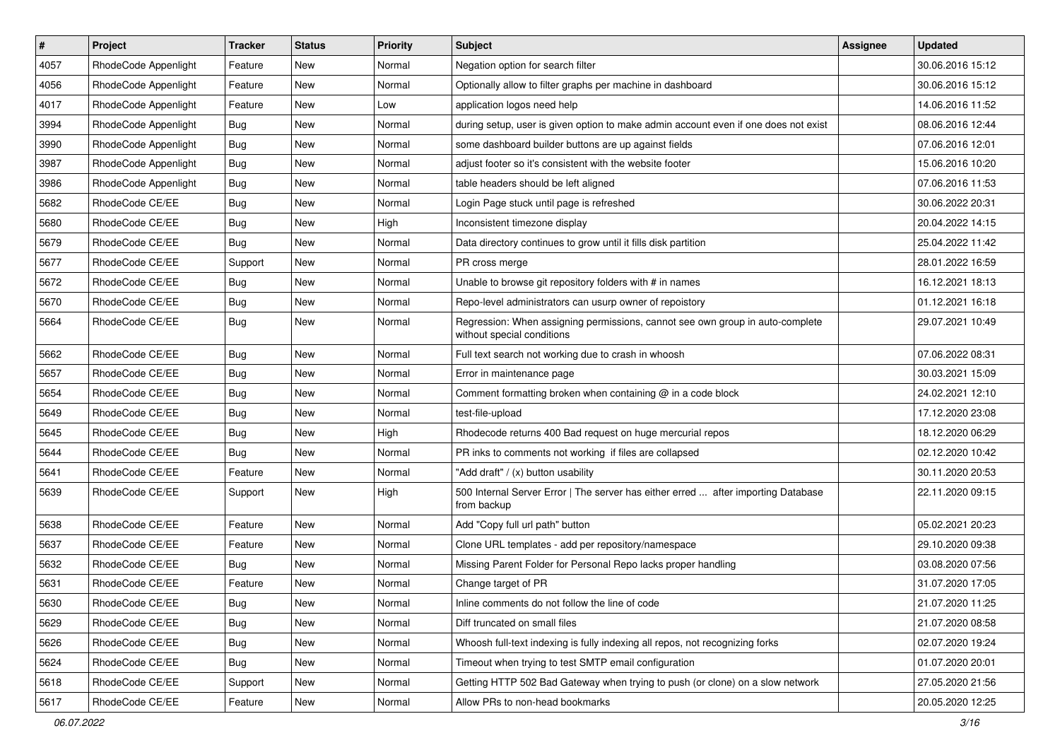| $\#$ | Project              | <b>Tracker</b> | <b>Status</b> | <b>Priority</b> | Subject                                                                                                     | <b>Assignee</b> | <b>Updated</b>   |
|------|----------------------|----------------|---------------|-----------------|-------------------------------------------------------------------------------------------------------------|-----------------|------------------|
| 4057 | RhodeCode Appenlight | Feature        | New           | Normal          | Negation option for search filter                                                                           |                 | 30.06.2016 15:12 |
| 4056 | RhodeCode Appenlight | Feature        | New           | Normal          | Optionally allow to filter graphs per machine in dashboard                                                  |                 | 30.06.2016 15:12 |
| 4017 | RhodeCode Appenlight | Feature        | New           | Low             | application logos need help                                                                                 |                 | 14.06.2016 11:52 |
| 3994 | RhodeCode Appenlight | Bug            | New           | Normal          | during setup, user is given option to make admin account even if one does not exist                         |                 | 08.06.2016 12:44 |
| 3990 | RhodeCode Appenlight | Bug            | New           | Normal          | some dashboard builder buttons are up against fields                                                        |                 | 07.06.2016 12:01 |
| 3987 | RhodeCode Appenlight | <b>Bug</b>     | New           | Normal          | adjust footer so it's consistent with the website footer                                                    |                 | 15.06.2016 10:20 |
| 3986 | RhodeCode Appenlight | <b>Bug</b>     | New           | Normal          | table headers should be left aligned                                                                        |                 | 07.06.2016 11:53 |
| 5682 | RhodeCode CE/EE      | Bug            | New           | Normal          | Login Page stuck until page is refreshed                                                                    |                 | 30.06.2022 20:31 |
| 5680 | RhodeCode CE/EE      | <b>Bug</b>     | New           | High            | Inconsistent timezone display                                                                               |                 | 20.04.2022 14:15 |
| 5679 | RhodeCode CE/EE      | <b>Bug</b>     | New           | Normal          | Data directory continues to grow until it fills disk partition                                              |                 | 25.04.2022 11:42 |
| 5677 | RhodeCode CE/EE      | Support        | New           | Normal          | PR cross merge                                                                                              |                 | 28.01.2022 16:59 |
| 5672 | RhodeCode CE/EE      | <b>Bug</b>     | New           | Normal          | Unable to browse git repository folders with # in names                                                     |                 | 16.12.2021 18:13 |
| 5670 | RhodeCode CE/EE      | Bug            | New           | Normal          | Repo-level administrators can usurp owner of repoistory                                                     |                 | 01.12.2021 16:18 |
| 5664 | RhodeCode CE/EE      | Bug            | New           | Normal          | Regression: When assigning permissions, cannot see own group in auto-complete<br>without special conditions |                 | 29.07.2021 10:49 |
| 5662 | RhodeCode CE/EE      | Bug            | New           | Normal          | Full text search not working due to crash in whoosh                                                         |                 | 07.06.2022 08:31 |
| 5657 | RhodeCode CE/EE      | <b>Bug</b>     | New           | Normal          | Error in maintenance page                                                                                   |                 | 30.03.2021 15:09 |
| 5654 | RhodeCode CE/EE      | Bug            | New           | Normal          | Comment formatting broken when containing @ in a code block                                                 |                 | 24.02.2021 12:10 |
| 5649 | RhodeCode CE/EE      | <b>Bug</b>     | New           | Normal          | test-file-upload                                                                                            |                 | 17.12.2020 23:08 |
| 5645 | RhodeCode CE/EE      | <b>Bug</b>     | New           | High            | Rhodecode returns 400 Bad request on huge mercurial repos                                                   |                 | 18.12.2020 06:29 |
| 5644 | RhodeCode CE/EE      | Bug            | New           | Normal          | PR inks to comments not working if files are collapsed                                                      |                 | 02.12.2020 10:42 |
| 5641 | RhodeCode CE/EE      | Feature        | New           | Normal          | "Add draft" / (x) button usability                                                                          |                 | 30.11.2020 20:53 |
| 5639 | RhodeCode CE/EE      | Support        | New           | High            | 500 Internal Server Error   The server has either erred  after importing Database<br>from backup            |                 | 22.11.2020 09:15 |
| 5638 | RhodeCode CE/EE      | Feature        | New           | Normal          | Add "Copy full url path" button                                                                             |                 | 05.02.2021 20:23 |
| 5637 | RhodeCode CE/EE      | Feature        | New           | Normal          | Clone URL templates - add per repository/namespace                                                          |                 | 29.10.2020 09:38 |
| 5632 | RhodeCode CE/EE      | <b>Bug</b>     | New           | Normal          | Missing Parent Folder for Personal Repo lacks proper handling                                               |                 | 03.08.2020 07:56 |
| 5631 | RhodeCode CE/EE      | Feature        | New           | Normal          | Change target of PR                                                                                         |                 | 31.07.2020 17:05 |
| 5630 | RhodeCode CE/EE      | <b>Bug</b>     | New           | Normal          | Inline comments do not follow the line of code                                                              |                 | 21.07.2020 11:25 |
| 5629 | RhodeCode CE/EE      | Bug            | New           | Normal          | Diff truncated on small files                                                                               |                 | 21.07.2020 08:58 |
| 5626 | RhodeCode CE/EE      | Bug            | New           | Normal          | Whoosh full-text indexing is fully indexing all repos, not recognizing forks                                |                 | 02.07.2020 19:24 |
| 5624 | RhodeCode CE/EE      | <b>Bug</b>     | New           | Normal          | Timeout when trying to test SMTP email configuration                                                        |                 | 01.07.2020 20:01 |
| 5618 | RhodeCode CE/EE      | Support        | New           | Normal          | Getting HTTP 502 Bad Gateway when trying to push (or clone) on a slow network                               |                 | 27.05.2020 21:56 |
| 5617 | RhodeCode CE/EE      | Feature        | New           | Normal          | Allow PRs to non-head bookmarks                                                                             |                 | 20.05.2020 12:25 |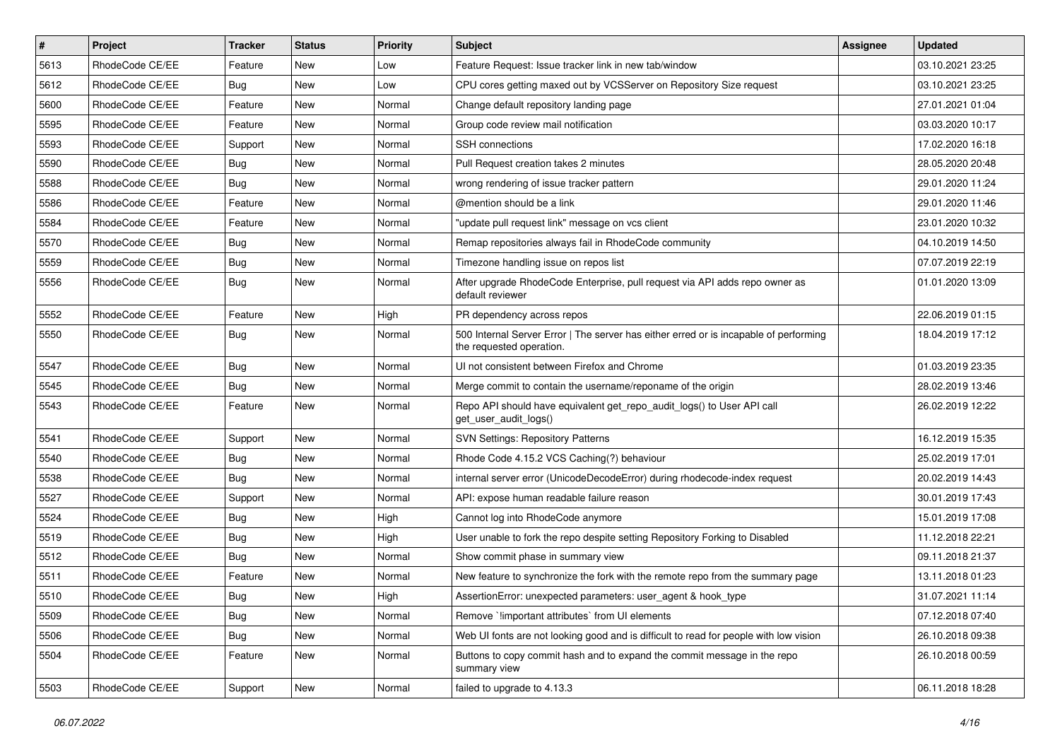| $\vert$ # | Project         | Tracker    | <b>Status</b> | <b>Priority</b> | <b>Subject</b>                                                                                                    | <b>Assignee</b> | <b>Updated</b>   |
|-----------|-----------------|------------|---------------|-----------------|-------------------------------------------------------------------------------------------------------------------|-----------------|------------------|
| 5613      | RhodeCode CE/EE | Feature    | New           | Low             | Feature Request: Issue tracker link in new tab/window                                                             |                 | 03.10.2021 23:25 |
| 5612      | RhodeCode CE/EE | Bug        | <b>New</b>    | Low             | CPU cores getting maxed out by VCSServer on Repository Size request                                               |                 | 03.10.2021 23:25 |
| 5600      | RhodeCode CE/EE | Feature    | New           | Normal          | Change default repository landing page                                                                            |                 | 27.01.2021 01:04 |
| 5595      | RhodeCode CE/EE | Feature    | New           | Normal          | Group code review mail notification                                                                               |                 | 03.03.2020 10:17 |
| 5593      | RhodeCode CE/EE | Support    | New           | Normal          | SSH connections                                                                                                   |                 | 17.02.2020 16:18 |
| 5590      | RhodeCode CE/EE | Bug        | New           | Normal          | Pull Request creation takes 2 minutes                                                                             |                 | 28.05.2020 20:48 |
| 5588      | RhodeCode CE/EE | Bug        | New           | Normal          | wrong rendering of issue tracker pattern                                                                          |                 | 29.01.2020 11:24 |
| 5586      | RhodeCode CE/EE | Feature    | New           | Normal          | @mention should be a link                                                                                         |                 | 29.01.2020 11:46 |
| 5584      | RhodeCode CE/EE | Feature    | New           | Normal          | "update pull request link" message on vcs client                                                                  |                 | 23.01.2020 10:32 |
| 5570      | RhodeCode CE/EE | Bug        | New           | Normal          | Remap repositories always fail in RhodeCode community                                                             |                 | 04.10.2019 14:50 |
| 5559      | RhodeCode CE/EE | <b>Bug</b> | New           | Normal          | Timezone handling issue on repos list                                                                             |                 | 07.07.2019 22:19 |
| 5556      | RhodeCode CE/EE | Bug        | New           | Normal          | After upgrade RhodeCode Enterprise, pull request via API adds repo owner as<br>default reviewer                   |                 | 01.01.2020 13:09 |
| 5552      | RhodeCode CE/EE | Feature    | New           | High            | PR dependency across repos                                                                                        |                 | 22.06.2019 01:15 |
| 5550      | RhodeCode CE/EE | Bug        | New           | Normal          | 500 Internal Server Error   The server has either erred or is incapable of performing<br>the requested operation. |                 | 18.04.2019 17:12 |
| 5547      | RhodeCode CE/EE | <b>Bug</b> | New           | Normal          | UI not consistent between Firefox and Chrome                                                                      |                 | 01.03.2019 23:35 |
| 5545      | RhodeCode CE/EE | Bug        | New           | Normal          | Merge commit to contain the username/reponame of the origin                                                       |                 | 28.02.2019 13:46 |
| 5543      | RhodeCode CE/EE | Feature    | New           | Normal          | Repo API should have equivalent get_repo_audit_logs() to User API call<br>get_user_audit_logs()                   |                 | 26.02.2019 12:22 |
| 5541      | RhodeCode CE/EE | Support    | New           | Normal          | <b>SVN Settings: Repository Patterns</b>                                                                          |                 | 16.12.2019 15:35 |
| 5540      | RhodeCode CE/EE | <b>Bug</b> | New           | Normal          | Rhode Code 4.15.2 VCS Caching(?) behaviour                                                                        |                 | 25.02.2019 17:01 |
| 5538      | RhodeCode CE/EE | Bug        | <b>New</b>    | Normal          | internal server error (UnicodeDecodeError) during rhodecode-index request                                         |                 | 20.02.2019 14:43 |
| 5527      | RhodeCode CE/EE | Support    | New           | Normal          | API: expose human readable failure reason                                                                         |                 | 30.01.2019 17:43 |
| 5524      | RhodeCode CE/EE | <b>Bug</b> | New           | High            | Cannot log into RhodeCode anymore                                                                                 |                 | 15.01.2019 17:08 |
| 5519      | RhodeCode CE/EE | Bug        | New           | High            | User unable to fork the repo despite setting Repository Forking to Disabled                                       |                 | 11.12.2018 22:21 |
| 5512      | RhodeCode CE/EE | <b>Bug</b> | New           | Normal          | Show commit phase in summary view                                                                                 |                 | 09.11.2018 21:37 |
| 5511      | RhodeCode CE/EE | Feature    | New           | Normal          | New feature to synchronize the fork with the remote repo from the summary page                                    |                 | 13.11.2018 01:23 |
| 5510      | RhodeCode CE/EE | Bug        | New           | High            | AssertionError: unexpected parameters: user_agent & hook_type                                                     |                 | 31.07.2021 11:14 |
| 5509      | RhodeCode CE/EE | <b>Bug</b> | New           | Normal          | Remove `!important attributes` from UI elements                                                                   |                 | 07.12.2018 07:40 |
| 5506      | RhodeCode CE/EE | <b>Bug</b> | New           | Normal          | Web UI fonts are not looking good and is difficult to read for people with low vision                             |                 | 26.10.2018 09:38 |
| 5504      | RhodeCode CE/EE | Feature    | New           | Normal          | Buttons to copy commit hash and to expand the commit message in the repo<br>summary view                          |                 | 26.10.2018 00:59 |
| 5503      | RhodeCode CE/EE | Support    | New           | Normal          | failed to upgrade to 4.13.3                                                                                       |                 | 06.11.2018 18:28 |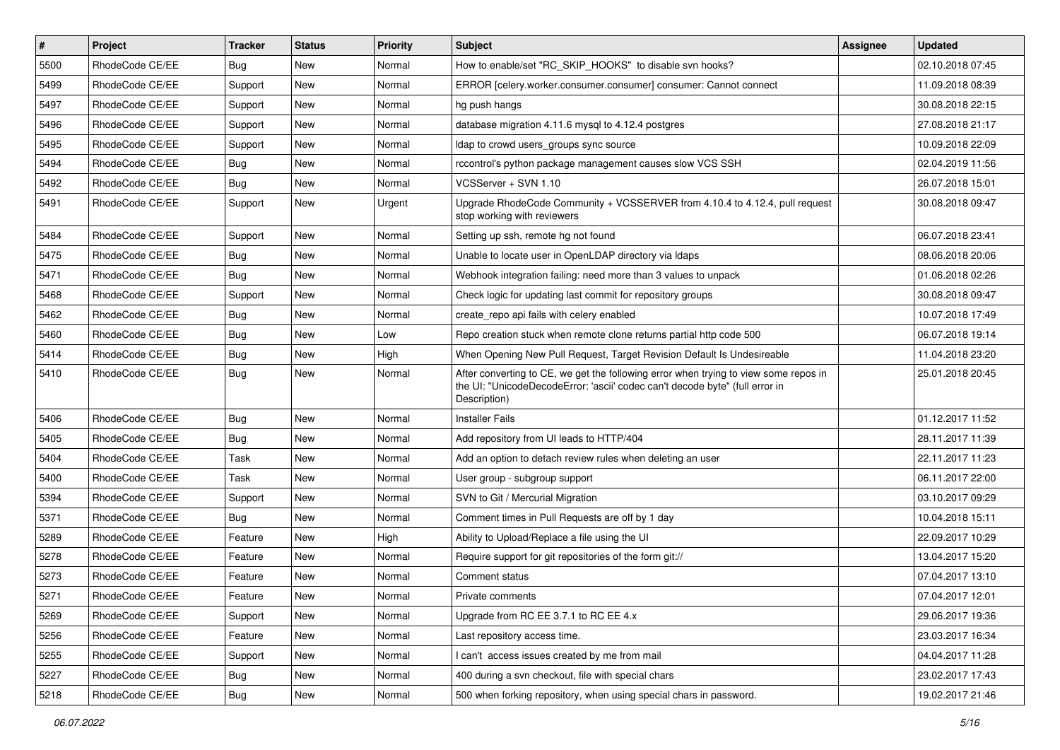| $\sharp$ | Project         | <b>Tracker</b> | <b>Status</b> | Priority | <b>Subject</b>                                                                                                                                                                       | <b>Assignee</b> | <b>Updated</b>   |
|----------|-----------------|----------------|---------------|----------|--------------------------------------------------------------------------------------------------------------------------------------------------------------------------------------|-----------------|------------------|
| 5500     | RhodeCode CE/EE | Bug            | New           | Normal   | How to enable/set "RC SKIP HOOKS" to disable svn hooks?                                                                                                                              |                 | 02.10.2018 07:45 |
| 5499     | RhodeCode CE/EE | Support        | New           | Normal   | ERROR [celery.worker.consumer.consumer] consumer: Cannot connect                                                                                                                     |                 | 11.09.2018 08:39 |
| 5497     | RhodeCode CE/EE | Support        | New           | Normal   | hg push hangs                                                                                                                                                                        |                 | 30.08.2018 22:15 |
| 5496     | RhodeCode CE/EE | Support        | New           | Normal   | database migration 4.11.6 mysql to 4.12.4 postgres                                                                                                                                   |                 | 27.08.2018 21:17 |
| 5495     | RhodeCode CE/EE | Support        | <b>New</b>    | Normal   | Idap to crowd users_groups sync source                                                                                                                                               |                 | 10.09.2018 22:09 |
| 5494     | RhodeCode CE/EE | <b>Bug</b>     | New           | Normal   | rccontrol's python package management causes slow VCS SSH                                                                                                                            |                 | 02.04.2019 11:56 |
| 5492     | RhodeCode CE/EE | <b>Bug</b>     | New           | Normal   | VCSServer + SVN 1.10                                                                                                                                                                 |                 | 26.07.2018 15:01 |
| 5491     | RhodeCode CE/EE | Support        | New           | Urgent   | Upgrade RhodeCode Community + VCSSERVER from 4.10.4 to 4.12.4, pull request<br>stop working with reviewers                                                                           |                 | 30.08.2018 09:47 |
| 5484     | RhodeCode CE/EE | Support        | <b>New</b>    | Normal   | Setting up ssh, remote hg not found                                                                                                                                                  |                 | 06.07.2018 23:41 |
| 5475     | RhodeCode CE/EE | <b>Bug</b>     | New           | Normal   | Unable to locate user in OpenLDAP directory via Idaps                                                                                                                                |                 | 08.06.2018 20:06 |
| 5471     | RhodeCode CE/EE | Bug            | New           | Normal   | Webhook integration failing: need more than 3 values to unpack                                                                                                                       |                 | 01.06.2018 02:26 |
| 5468     | RhodeCode CE/EE | Support        | New           | Normal   | Check logic for updating last commit for repository groups                                                                                                                           |                 | 30.08.2018 09:47 |
| 5462     | RhodeCode CE/EE | Bug            | New           | Normal   | create repo api fails with celery enabled                                                                                                                                            |                 | 10.07.2018 17:49 |
| 5460     | RhodeCode CE/EE | <b>Bug</b>     | New           | Low      | Repo creation stuck when remote clone returns partial http code 500                                                                                                                  |                 | 06.07.2018 19:14 |
| 5414     | RhodeCode CE/EE | <b>Bug</b>     | New           | High     | When Opening New Pull Request, Target Revision Default Is Undesireable                                                                                                               |                 | 11.04.2018 23:20 |
| 5410     | RhodeCode CE/EE | Bug            | New           | Normal   | After converting to CE, we get the following error when trying to view some repos in<br>the UI: "UnicodeDecodeError: 'ascii' codec can't decode byte" (full error in<br>Description) |                 | 25.01.2018 20:45 |
| 5406     | RhodeCode CE/EE | <b>Bug</b>     | New           | Normal   | <b>Installer Fails</b>                                                                                                                                                               |                 | 01.12.2017 11:52 |
| 5405     | RhodeCode CE/EE | Bug            | <b>New</b>    | Normal   | Add repository from UI leads to HTTP/404                                                                                                                                             |                 | 28.11.2017 11:39 |
| 5404     | RhodeCode CE/EE | Task           | New           | Normal   | Add an option to detach review rules when deleting an user                                                                                                                           |                 | 22.11.2017 11:23 |
| 5400     | RhodeCode CE/EE | Task           | New           | Normal   | User group - subgroup support                                                                                                                                                        |                 | 06.11.2017 22:00 |
| 5394     | RhodeCode CE/EE | Support        | New           | Normal   | SVN to Git / Mercurial Migration                                                                                                                                                     |                 | 03.10.2017 09:29 |
| 5371     | RhodeCode CE/EE | Bug            | New           | Normal   | Comment times in Pull Requests are off by 1 day                                                                                                                                      |                 | 10.04.2018 15:11 |
| 5289     | RhodeCode CE/EE | Feature        | <b>New</b>    | High     | Ability to Upload/Replace a file using the UI                                                                                                                                        |                 | 22.09.2017 10:29 |
| 5278     | RhodeCode CE/EE | Feature        | New           | Normal   | Require support for git repositories of the form git://                                                                                                                              |                 | 13.04.2017 15:20 |
| 5273     | RhodeCode CE/EE | Feature        | New           | Normal   | Comment status                                                                                                                                                                       |                 | 07.04.2017 13:10 |
| 5271     | RhodeCode CE/EE | Feature        | New           | Normal   | Private comments                                                                                                                                                                     |                 | 07.04.2017 12:01 |
| 5269     | RhodeCode CE/EE | Support        | New           | Normal   | Upgrade from RC EE 3.7.1 to RC EE 4.x                                                                                                                                                |                 | 29.06.2017 19:36 |
| 5256     | RhodeCode CE/EE | Feature        | <b>New</b>    | Normal   | Last repository access time.                                                                                                                                                         |                 | 23.03.2017 16:34 |
| 5255     | RhodeCode CE/EE | Support        | New           | Normal   | I can't access issues created by me from mail                                                                                                                                        |                 | 04.04.2017 11:28 |
| 5227     | RhodeCode CE/EE | Bug            | New           | Normal   | 400 during a svn checkout, file with special chars                                                                                                                                   |                 | 23.02.2017 17:43 |
| 5218     | RhodeCode CE/EE | Bug            | New           | Normal   | 500 when forking repository, when using special chars in password.                                                                                                                   |                 | 19.02.2017 21:46 |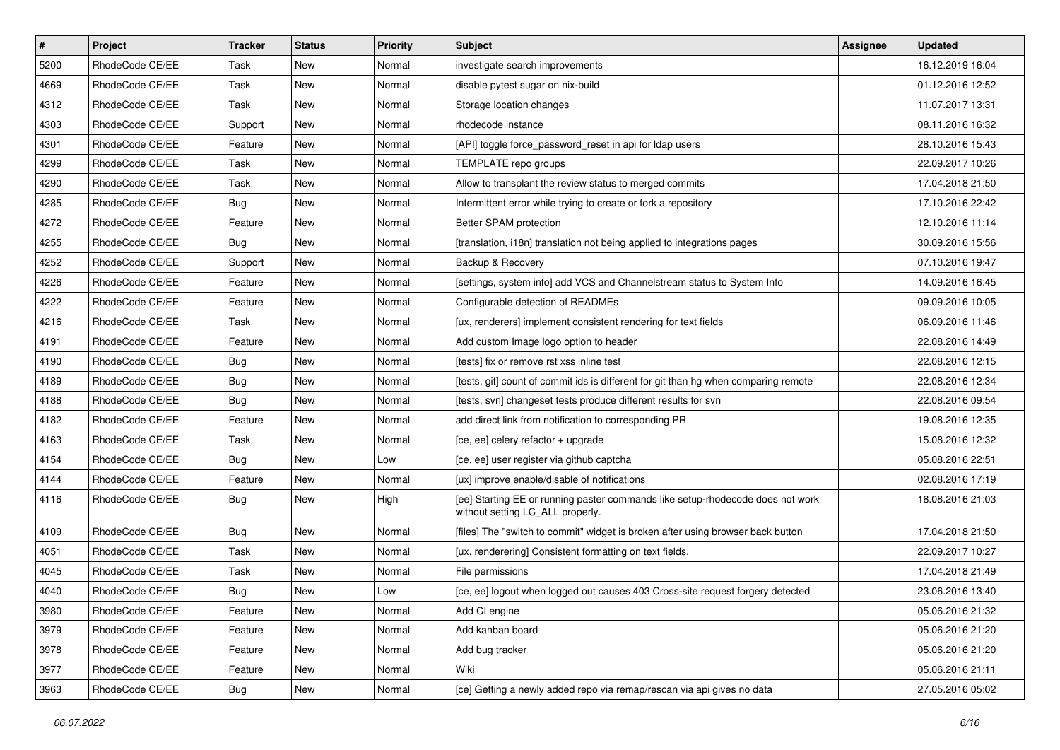| $\pmb{\#}$ | Project         | <b>Tracker</b> | <b>Status</b> | <b>Priority</b> | Subject                                                                                                            | Assignee | <b>Updated</b>   |
|------------|-----------------|----------------|---------------|-----------------|--------------------------------------------------------------------------------------------------------------------|----------|------------------|
| 5200       | RhodeCode CE/EE | Task           | New           | Normal          | investigate search improvements                                                                                    |          | 16.12.2019 16:04 |
| 4669       | RhodeCode CE/EE | Task           | New           | Normal          | disable pytest sugar on nix-build                                                                                  |          | 01.12.2016 12:52 |
| 4312       | RhodeCode CE/EE | Task           | New           | Normal          | Storage location changes                                                                                           |          | 11.07.2017 13:31 |
| 4303       | RhodeCode CE/EE | Support        | New           | Normal          | rhodecode instance                                                                                                 |          | 08.11.2016 16:32 |
| 4301       | RhodeCode CE/EE | Feature        | <b>New</b>    | Normal          | [API] toggle force_password_reset in api for Idap users                                                            |          | 28.10.2016 15:43 |
| 4299       | RhodeCode CE/EE | Task           | New           | Normal          | TEMPLATE repo groups                                                                                               |          | 22.09.2017 10:26 |
| 4290       | RhodeCode CE/EE | Task           | <b>New</b>    | Normal          | Allow to transplant the review status to merged commits                                                            |          | 17.04.2018 21:50 |
| 4285       | RhodeCode CE/EE | Bug            | New           | Normal          | Intermittent error while trying to create or fork a repository                                                     |          | 17.10.2016 22:42 |
| 4272       | RhodeCode CE/EE | Feature        | New           | Normal          | Better SPAM protection                                                                                             |          | 12.10.2016 11:14 |
| 4255       | RhodeCode CE/EE | Bug            | <b>New</b>    | Normal          | [translation, i18n] translation not being applied to integrations pages                                            |          | 30.09.2016 15:56 |
| 4252       | RhodeCode CE/EE | Support        | <b>New</b>    | Normal          | Backup & Recovery                                                                                                  |          | 07.10.2016 19:47 |
| 4226       | RhodeCode CE/EE | Feature        | New           | Normal          | [settings, system info] add VCS and Channelstream status to System Info                                            |          | 14.09.2016 16:45 |
| 4222       | RhodeCode CE/EE | Feature        | New           | Normal          | Configurable detection of READMEs                                                                                  |          | 09.09.2016 10:05 |
| 4216       | RhodeCode CE/EE | Task           | New           | Normal          | [ux, renderers] implement consistent rendering for text fields                                                     |          | 06.09.2016 11:46 |
| 4191       | RhodeCode CE/EE | Feature        | <b>New</b>    | Normal          | Add custom Image logo option to header                                                                             |          | 22.08.2016 14:49 |
| 4190       | RhodeCode CE/EE | Bug            | New           | Normal          | [tests] fix or remove rst xss inline test                                                                          |          | 22.08.2016 12:15 |
| 4189       | RhodeCode CE/EE | <b>Bug</b>     | New           | Normal          | [tests, git] count of commit ids is different for git than hg when comparing remote                                |          | 22.08.2016 12:34 |
| 4188       | RhodeCode CE/EE | Bug            | <b>New</b>    | Normal          | [tests, svn] changeset tests produce different results for svn                                                     |          | 22.08.2016 09:54 |
| 4182       | RhodeCode CE/EE | Feature        | New           | Normal          | add direct link from notification to corresponding PR                                                              |          | 19.08.2016 12:35 |
| 4163       | RhodeCode CE/EE | Task           | New           | Normal          | [ce, ee] celery refactor + upgrade                                                                                 |          | 15.08.2016 12:32 |
| 4154       | RhodeCode CE/EE | Bug            | New           | Low             | [ce, ee] user register via github captcha                                                                          |          | 05.08.2016 22:51 |
| 4144       | RhodeCode CE/EE | Feature        | New           | Normal          | [ux] improve enable/disable of notifications                                                                       |          | 02.08.2016 17:19 |
| 4116       | RhodeCode CE/EE | Bug            | <b>New</b>    | High            | [ee] Starting EE or running paster commands like setup-rhodecode does not work<br>without setting LC_ALL properly. |          | 18.08.2016 21:03 |
| 4109       | RhodeCode CE/EE | Bug            | New           | Normal          | [files] The "switch to commit" widget is broken after using browser back button                                    |          | 17.04.2018 21:50 |
| 4051       | RhodeCode CE/EE | Task           | <b>New</b>    | Normal          | [ux, renderering] Consistent formatting on text fields.                                                            |          | 22.09.2017 10:27 |
| 4045       | RhodeCode CE/EE | Task           | <b>New</b>    | Normal          | File permissions                                                                                                   |          | 17.04.2018 21:49 |
| 4040       | RhodeCode CE/EE | Bug            | New           | Low             | [ce, ee] logout when logged out causes 403 Cross-site request forgery detected                                     |          | 23.06.2016 13:40 |
| 3980       | RhodeCode CE/EE | Feature        | New           | Normal          | Add CI engine                                                                                                      |          | 05.06.2016 21:32 |
| 3979       | RhodeCode CE/EE | Feature        | New           | Normal          | Add kanban board                                                                                                   |          | 05.06.2016 21:20 |
| 3978       | RhodeCode CE/EE | Feature        | New           | Normal          | Add bug tracker                                                                                                    |          | 05.06.2016 21:20 |
| 3977       | RhodeCode CE/EE | Feature        | New           | Normal          | Wiki                                                                                                               |          | 05.06.2016 21:11 |
| 3963       | RhodeCode CE/EE | Bug            | New           | Normal          | [ce] Getting a newly added repo via remap/rescan via api gives no data                                             |          | 27.05.2016 05:02 |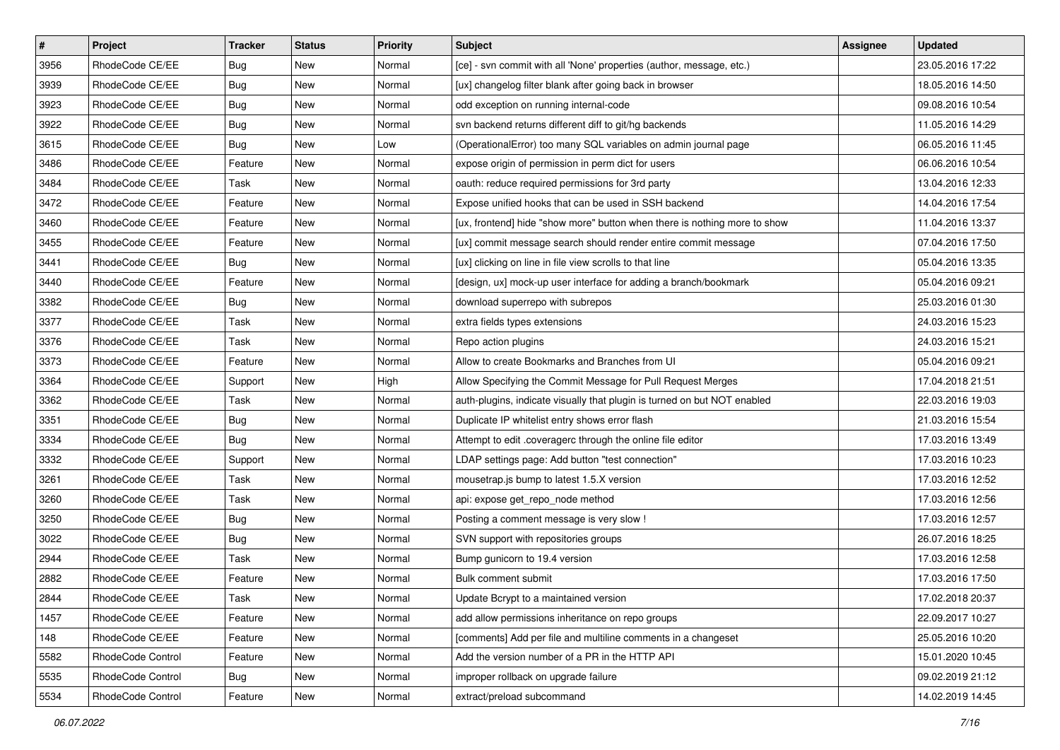| $\pmb{\#}$ | Project           | <b>Tracker</b> | <b>Status</b> | Priority | Subject                                                                   | Assignee | <b>Updated</b>   |
|------------|-------------------|----------------|---------------|----------|---------------------------------------------------------------------------|----------|------------------|
| 3956       | RhodeCode CE/EE   | <b>Bug</b>     | New           | Normal   | [ce] - svn commit with all 'None' properties (author, message, etc.)      |          | 23.05.2016 17:22 |
| 3939       | RhodeCode CE/EE   | Bug            | New           | Normal   | [ux] changelog filter blank after going back in browser                   |          | 18.05.2016 14:50 |
| 3923       | RhodeCode CE/EE   | Bug            | New           | Normal   | odd exception on running internal-code                                    |          | 09.08.2016 10:54 |
| 3922       | RhodeCode CE/EE   | <b>Bug</b>     | New           | Normal   | svn backend returns different diff to git/hg backends                     |          | 11.05.2016 14:29 |
| 3615       | RhodeCode CE/EE   | Bug            | <b>New</b>    | Low      | (OperationalError) too many SQL variables on admin journal page           |          | 06.05.2016 11:45 |
| 3486       | RhodeCode CE/EE   | Feature        | New           | Normal   | expose origin of permission in perm dict for users                        |          | 06.06.2016 10:54 |
| 3484       | RhodeCode CE/EE   | Task           | New           | Normal   | oauth: reduce required permissions for 3rd party                          |          | 13.04.2016 12:33 |
| 3472       | RhodeCode CE/EE   | Feature        | New           | Normal   | Expose unified hooks that can be used in SSH backend                      |          | 14.04.2016 17:54 |
| 3460       | RhodeCode CE/EE   | Feature        | New           | Normal   | [ux, frontend] hide "show more" button when there is nothing more to show |          | 11.04.2016 13:37 |
| 3455       | RhodeCode CE/EE   | Feature        | New           | Normal   | [ux] commit message search should render entire commit message            |          | 07.04.2016 17:50 |
| 3441       | RhodeCode CE/EE   | Bug            | New           | Normal   | [ux] clicking on line in file view scrolls to that line                   |          | 05.04.2016 13:35 |
| 3440       | RhodeCode CE/EE   | Feature        | New           | Normal   | [design, ux] mock-up user interface for adding a branch/bookmark          |          | 05.04.2016 09:21 |
| 3382       | RhodeCode CE/EE   | Bug            | <b>New</b>    | Normal   | download superrepo with subrepos                                          |          | 25.03.2016 01:30 |
| 3377       | RhodeCode CE/EE   | Task           | New           | Normal   | extra fields types extensions                                             |          | 24.03.2016 15:23 |
| 3376       | RhodeCode CE/EE   | Task           | New           | Normal   | Repo action plugins                                                       |          | 24.03.2016 15:21 |
| 3373       | RhodeCode CE/EE   | Feature        | New           | Normal   | Allow to create Bookmarks and Branches from UI                            |          | 05.04.2016 09:21 |
| 3364       | RhodeCode CE/EE   | Support        | New           | High     | Allow Specifying the Commit Message for Pull Request Merges               |          | 17.04.2018 21:51 |
| 3362       | RhodeCode CE/EE   | <b>Task</b>    | <b>New</b>    | Normal   | auth-plugins, indicate visually that plugin is turned on but NOT enabled  |          | 22.03.2016 19:03 |
| 3351       | RhodeCode CE/EE   | <b>Bug</b>     | New           | Normal   | Duplicate IP whitelist entry shows error flash                            |          | 21.03.2016 15:54 |
| 3334       | RhodeCode CE/EE   | Bug            | New           | Normal   | Attempt to edit .coveragerc through the online file editor                |          | 17.03.2016 13:49 |
| 3332       | RhodeCode CE/EE   | Support        | New           | Normal   | LDAP settings page: Add button "test connection"                          |          | 17.03.2016 10:23 |
| 3261       | RhodeCode CE/EE   | Task           | New           | Normal   | mousetrap.js bump to latest 1.5.X version                                 |          | 17.03.2016 12:52 |
| 3260       | RhodeCode CE/EE   | Task           | <b>New</b>    | Normal   | api: expose get_repo_node method                                          |          | 17.03.2016 12:56 |
| 3250       | RhodeCode CE/EE   | Bug            | New           | Normal   | Posting a comment message is very slow !                                  |          | 17.03.2016 12:57 |
| 3022       | RhodeCode CE/EE   | Bug            | New           | Normal   | SVN support with repositories groups                                      |          | 26.07.2016 18:25 |
| 2944       | RhodeCode CE/EE   | Task           | New           | Normal   | Bump gunicorn to 19.4 version                                             |          | 17.03.2016 12:58 |
| 2882       | RhodeCode CE/EE   | Feature        | New           | Normal   | Bulk comment submit                                                       |          | 17.03.2016 17:50 |
| 2844       | RhodeCode CE/EE   | Task           | New           | Normal   | Update Bcrypt to a maintained version                                     |          | 17.02.2018 20:37 |
| 1457       | RhodeCode CE/EE   | Feature        | New           | Normal   | add allow permissions inheritance on repo groups                          |          | 22.09.2017 10:27 |
| 148        | RhodeCode CE/EE   | Feature        | New           | Normal   | [comments] Add per file and multiline comments in a changeset             |          | 25.05.2016 10:20 |
| 5582       | RhodeCode Control | Feature        | New           | Normal   | Add the version number of a PR in the HTTP API                            |          | 15.01.2020 10:45 |
| 5535       | RhodeCode Control | Bug            | New           | Normal   | improper rollback on upgrade failure                                      |          | 09.02.2019 21:12 |
| 5534       | RhodeCode Control | Feature        | New           | Normal   | extract/preload subcommand                                                |          | 14.02.2019 14:45 |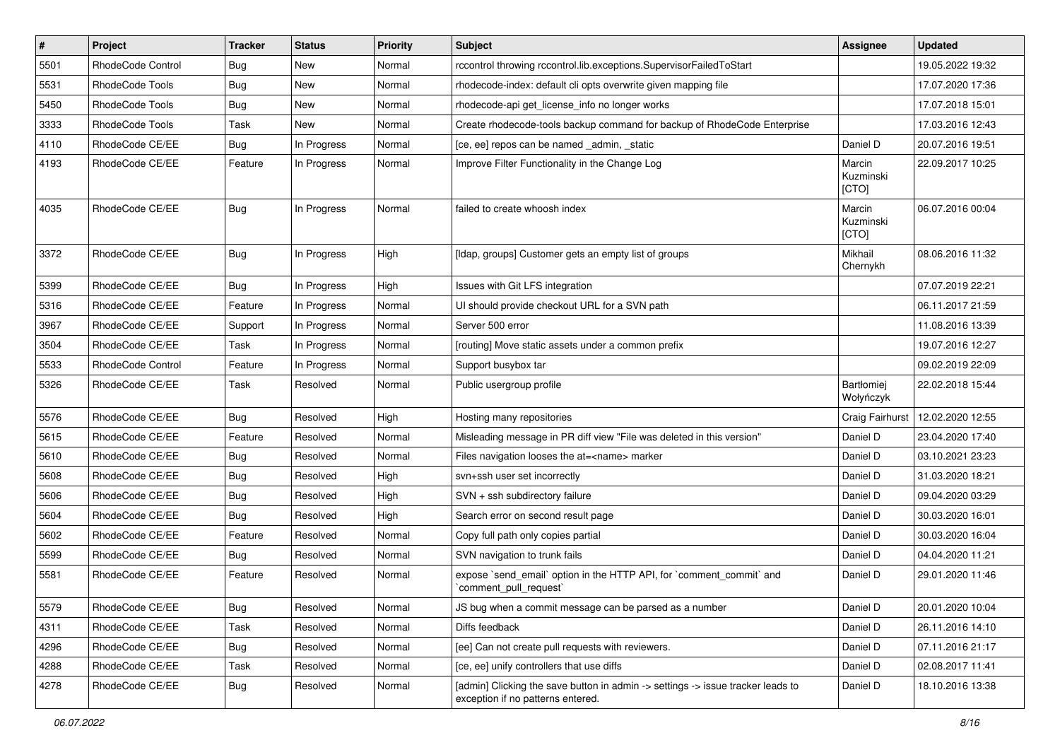| $\pmb{\#}$ | Project           | <b>Tracker</b> | <b>Status</b> | <b>Priority</b> | Subject                                                                                                              | <b>Assignee</b>              | <b>Updated</b>   |
|------------|-------------------|----------------|---------------|-----------------|----------------------------------------------------------------------------------------------------------------------|------------------------------|------------------|
| 5501       | RhodeCode Control | Bug            | New           | Normal          | rccontrol throwing rccontrol.lib.exceptions.SupervisorFailedToStart                                                  |                              | 19.05.2022 19:32 |
| 5531       | RhodeCode Tools   | <b>Bug</b>     | <b>New</b>    | Normal          | rhodecode-index: default cli opts overwrite given mapping file                                                       |                              | 17.07.2020 17:36 |
| 5450       | RhodeCode Tools   | Bug            | New           | Normal          | rhodecode-api get license info no longer works                                                                       |                              | 17.07.2018 15:01 |
| 3333       | RhodeCode Tools   | Task           | New           | Normal          | Create rhodecode-tools backup command for backup of RhodeCode Enterprise                                             |                              | 17.03.2016 12:43 |
| 4110       | RhodeCode CE/EE   | Bug            | In Progress   | Normal          | [ce, ee] repos can be named _admin, _static                                                                          | Daniel D                     | 20.07.2016 19:51 |
| 4193       | RhodeCode CE/EE   | Feature        | In Progress   | Normal          | Improve Filter Functionality in the Change Log                                                                       | Marcin<br>Kuzminski<br>[CTO] | 22.09.2017 10:25 |
| 4035       | RhodeCode CE/EE   | Bug            | In Progress   | Normal          | failed to create whoosh index                                                                                        | Marcin<br>Kuzminski<br>[CTO] | 06.07.2016 00:04 |
| 3372       | RhodeCode CE/EE   | Bug            | In Progress   | High            | [Idap, groups] Customer gets an empty list of groups                                                                 | Mikhail<br>Chernykh          | 08.06.2016 11:32 |
| 5399       | RhodeCode CE/EE   | Bug            | In Progress   | High            | Issues with Git LFS integration                                                                                      |                              | 07.07.2019 22:21 |
| 5316       | RhodeCode CE/EE   | Feature        | In Progress   | Normal          | UI should provide checkout URL for a SVN path                                                                        |                              | 06.11.2017 21:59 |
| 3967       | RhodeCode CE/EE   | Support        | In Progress   | Normal          | Server 500 error                                                                                                     |                              | 11.08.2016 13:39 |
| 3504       | RhodeCode CE/EE   | Task           | In Progress   | Normal          | [routing] Move static assets under a common prefix                                                                   |                              | 19.07.2016 12:27 |
| 5533       | RhodeCode Control | Feature        | In Progress   | Normal          | Support busybox tar                                                                                                  |                              | 09.02.2019 22:09 |
| 5326       | RhodeCode CE/EE   | Task           | Resolved      | Normal          | Public usergroup profile                                                                                             | Bartłomiej<br>Wołyńczyk      | 22.02.2018 15:44 |
| 5576       | RhodeCode CE/EE   | <b>Bug</b>     | Resolved      | High            | Hosting many repositories                                                                                            | Craig Fairhurst              | 12.02.2020 12:55 |
| 5615       | RhodeCode CE/EE   | Feature        | Resolved      | Normal          | Misleading message in PR diff view "File was deleted in this version"                                                | Daniel D                     | 23.04.2020 17:40 |
| 5610       | RhodeCode CE/EE   | Bug            | Resolved      | Normal          | Files navigation looses the at= <name> marker</name>                                                                 | Daniel D                     | 03.10.2021 23:23 |
| 5608       | RhodeCode CE/EE   | Bug            | Resolved      | High            | svn+ssh user set incorrectly                                                                                         | Daniel D                     | 31.03.2020 18:21 |
| 5606       | RhodeCode CE/EE   | Bug            | Resolved      | High            | SVN + ssh subdirectory failure                                                                                       | Daniel D                     | 09.04.2020 03:29 |
| 5604       | RhodeCode CE/EE   | Bug            | Resolved      | High            | Search error on second result page                                                                                   | Daniel D                     | 30.03.2020 16:01 |
| 5602       | RhodeCode CE/EE   | Feature        | Resolved      | Normal          | Copy full path only copies partial                                                                                   | Daniel D                     | 30.03.2020 16:04 |
| 5599       | RhodeCode CE/EE   | Bug            | Resolved      | Normal          | SVN navigation to trunk fails                                                                                        | Daniel D                     | 04.04.2020 11:21 |
| 5581       | RhodeCode CE/EE   | Feature        | Resolved      | Normal          | expose `send_email` option in the HTTP API, for `comment_commit` and<br>`comment_pull_request`                       | Daniel D                     | 29.01.2020 11:46 |
| 5579       | RhodeCode CE/EE   | <b>Bug</b>     | Resolved      | Normal          | JS bug when a commit message can be parsed as a number                                                               | Daniel D                     | 20.01.2020 10:04 |
| 4311       | RhodeCode CE/EE   | Task           | Resolved      | Normal          | Diffs feedback                                                                                                       | Daniel D                     | 26.11.2016 14:10 |
| 4296       | RhodeCode CE/EE   | Bug            | Resolved      | Normal          | [ee] Can not create pull requests with reviewers.                                                                    | Daniel D                     | 07.11.2016 21:17 |
| 4288       | RhodeCode CE/EE   | Task           | Resolved      | Normal          | [ce, ee] unify controllers that use diffs                                                                            | Daniel D                     | 02.08.2017 11:41 |
| 4278       | RhodeCode CE/EE   | Bug            | Resolved      | Normal          | [admin] Clicking the save button in admin -> settings -> issue tracker leads to<br>exception if no patterns entered. | Daniel D                     | 18.10.2016 13:38 |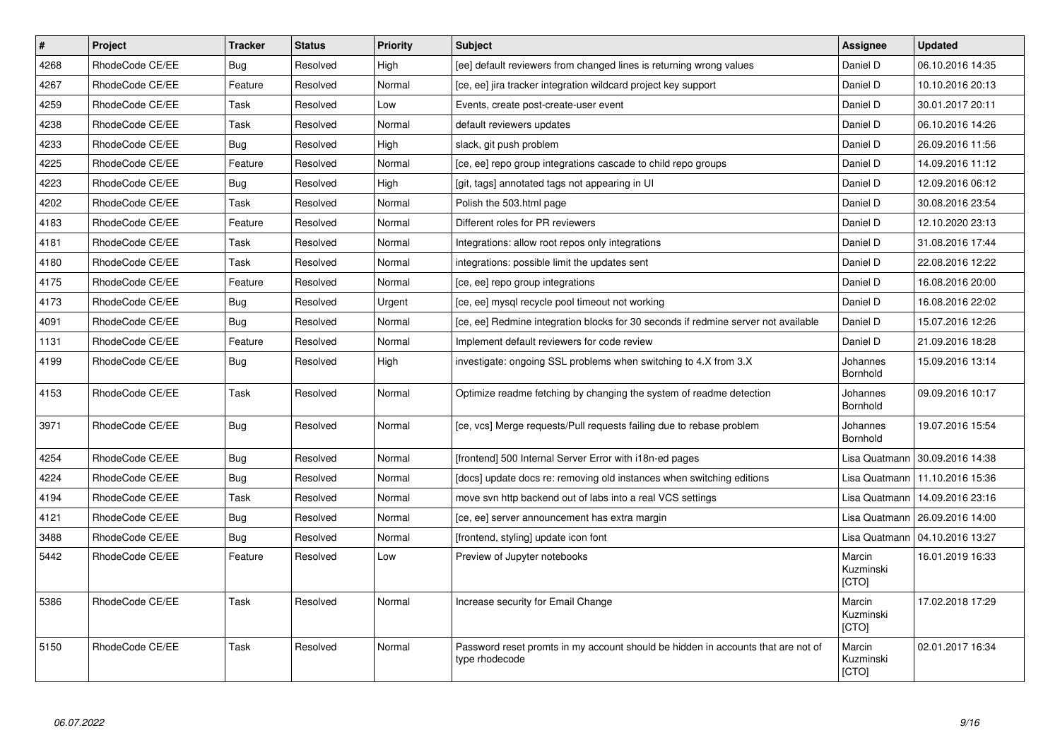| $\vert$ # | <b>Project</b>  | <b>Tracker</b> | <b>Status</b> | <b>Priority</b> | <b>Subject</b>                                                                                     | Assignee                     | <b>Updated</b>                   |
|-----------|-----------------|----------------|---------------|-----------------|----------------------------------------------------------------------------------------------------|------------------------------|----------------------------------|
| 4268      | RhodeCode CE/EE | <b>Bug</b>     | Resolved      | High            | [ee] default reviewers from changed lines is returning wrong values                                | Daniel D                     | 06.10.2016 14:35                 |
| 4267      | RhodeCode CE/EE | Feature        | Resolved      | Normal          | [ce, ee] jira tracker integration wildcard project key support                                     | Daniel D                     | 10.10.2016 20:13                 |
| 4259      | RhodeCode CE/EE | Task           | Resolved      | Low             | Events, create post-create-user event                                                              | Daniel D                     | 30.01.2017 20:11                 |
| 4238      | RhodeCode CE/EE | Task           | Resolved      | Normal          | default reviewers updates                                                                          | Daniel D                     | 06.10.2016 14:26                 |
| 4233      | RhodeCode CE/EE | Bug            | Resolved      | High            | slack, git push problem                                                                            | Daniel D                     | 26.09.2016 11:56                 |
| 4225      | RhodeCode CE/EE | Feature        | Resolved      | Normal          | [ce, ee] repo group integrations cascade to child repo groups                                      | Daniel D                     | 14.09.2016 11:12                 |
| 4223      | RhodeCode CE/EE | <b>Bug</b>     | Resolved      | High            | [git, tags] annotated tags not appearing in UI                                                     | Daniel D                     | 12.09.2016 06:12                 |
| 4202      | RhodeCode CE/EE | Task           | Resolved      | Normal          | Polish the 503.html page                                                                           | Daniel D                     | 30.08.2016 23:54                 |
| 4183      | RhodeCode CE/EE | Feature        | Resolved      | Normal          | Different roles for PR reviewers                                                                   | Daniel D                     | 12.10.2020 23:13                 |
| 4181      | RhodeCode CE/EE | Task           | Resolved      | Normal          | Integrations: allow root repos only integrations                                                   | Daniel D                     | 31.08.2016 17:44                 |
| 4180      | RhodeCode CE/EE | Task           | Resolved      | Normal          | integrations: possible limit the updates sent                                                      | Daniel D                     | 22.08.2016 12:22                 |
| 4175      | RhodeCode CE/EE | Feature        | Resolved      | Normal          | [ce, ee] repo group integrations                                                                   | Daniel D                     | 16.08.2016 20:00                 |
| 4173      | RhodeCode CE/EE | Bug            | Resolved      | Urgent          | [ce, ee] mysql recycle pool timeout not working                                                    | Daniel D                     | 16.08.2016 22:02                 |
| 4091      | RhodeCode CE/EE | Bug            | Resolved      | Normal          | [ce, ee] Redmine integration blocks for 30 seconds if redmine server not available                 | Daniel D                     | 15.07.2016 12:26                 |
| 1131      | RhodeCode CE/EE | Feature        | Resolved      | Normal          | Implement default reviewers for code review                                                        | Daniel D                     | 21.09.2016 18:28                 |
| 4199      | RhodeCode CE/EE | Bug            | Resolved      | High            | investigate: ongoing SSL problems when switching to 4.X from 3.X                                   | Johannes<br>Bornhold         | 15.09.2016 13:14                 |
| 4153      | RhodeCode CE/EE | Task           | Resolved      | Normal          | Optimize readme fetching by changing the system of readme detection                                | Johannes<br>Bornhold         | 09.09.2016 10:17                 |
| 3971      | RhodeCode CE/EE | Bug            | Resolved      | Normal          | [ce, vcs] Merge requests/Pull requests failing due to rebase problem                               | Johannes<br>Bornhold         | 19.07.2016 15:54                 |
| 4254      | RhodeCode CE/EE | Bug            | Resolved      | Normal          | [frontend] 500 Internal Server Error with i18n-ed pages                                            | Lisa Quatmann                | 30.09.2016 14:38                 |
| 4224      | RhodeCode CE/EE | Bug            | Resolved      | Normal          | [docs] update docs re: removing old instances when switching editions                              | Lisa Quatmann                | 11.10.2016 15:36                 |
| 4194      | RhodeCode CE/EE | Task           | Resolved      | Normal          | move svn http backend out of labs into a real VCS settings                                         | Lisa Quatmann                | 14.09.2016 23:16                 |
| 4121      | RhodeCode CE/EE | Bug            | Resolved      | Normal          | [ce, ee] server announcement has extra margin                                                      |                              | Lisa Quatmann   26.09.2016 14:00 |
| 3488      | RhodeCode CE/EE | Bug            | Resolved      | Normal          | [frontend, styling] update icon font                                                               |                              | Lisa Quatmann   04.10.2016 13:27 |
| 5442      | RhodeCode CE/EE | Feature        | Resolved      | Low             | Preview of Jupyter notebooks                                                                       | Marcin<br>Kuzminski<br>[CTO] | 16.01.2019 16:33                 |
| 5386      | RhodeCode CE/EE | Task           | Resolved      | Normal          | Increase security for Email Change                                                                 | Marcin<br>Kuzminski<br>[CTO] | 17.02.2018 17:29                 |
| 5150      | RhodeCode CE/EE | Task           | Resolved      | Normal          | Password reset promts in my account should be hidden in accounts that are not of<br>type rhodecode | Marcin<br>Kuzminski<br>[CTO] | 02.01.2017 16:34                 |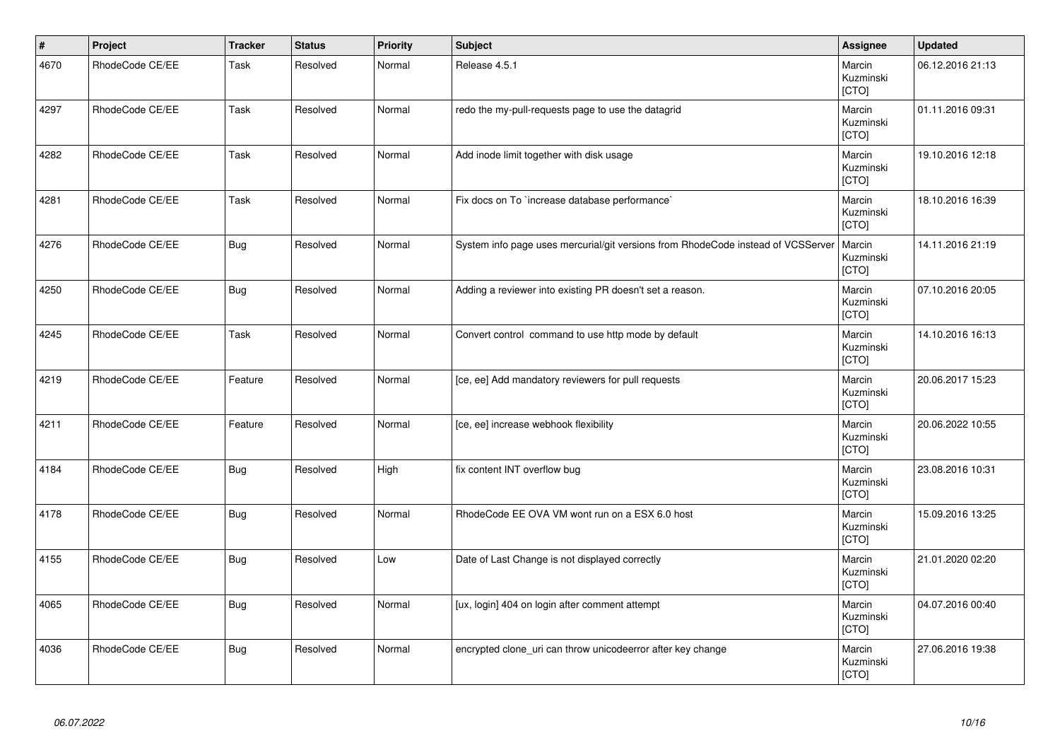| $\vert$ # | Project         | <b>Tracker</b> | <b>Status</b> | <b>Priority</b> | Subject                                                                          | Assignee                     | <b>Updated</b>   |
|-----------|-----------------|----------------|---------------|-----------------|----------------------------------------------------------------------------------|------------------------------|------------------|
| 4670      | RhodeCode CE/EE | Task           | Resolved      | Normal          | Release 4.5.1                                                                    | Marcin<br>Kuzminski<br>[CTO] | 06.12.2016 21:13 |
| 4297      | RhodeCode CE/EE | Task           | Resolved      | Normal          | redo the my-pull-requests page to use the datagrid                               | Marcin<br>Kuzminski<br>[CTO] | 01.11.2016 09:31 |
| 4282      | RhodeCode CE/EE | Task           | Resolved      | Normal          | Add inode limit together with disk usage                                         | Marcin<br>Kuzminski<br>[CTO] | 19.10.2016 12:18 |
| 4281      | RhodeCode CE/EE | Task           | Resolved      | Normal          | Fix docs on To `increase database performance`                                   | Marcin<br>Kuzminski<br>[CTO] | 18.10.2016 16:39 |
| 4276      | RhodeCode CE/EE | <b>Bug</b>     | Resolved      | Normal          | System info page uses mercurial/git versions from RhodeCode instead of VCSServer | Marcin<br>Kuzminski<br>[CTO] | 14.11.2016 21:19 |
| 4250      | RhodeCode CE/EE | <b>Bug</b>     | Resolved      | Normal          | Adding a reviewer into existing PR doesn't set a reason.                         | Marcin<br>Kuzminski<br>[CTO] | 07.10.2016 20:05 |
| 4245      | RhodeCode CE/EE | Task           | Resolved      | Normal          | Convert control command to use http mode by default                              | Marcin<br>Kuzminski<br>[CTO] | 14.10.2016 16:13 |
| 4219      | RhodeCode CE/EE | Feature        | Resolved      | Normal          | [ce, ee] Add mandatory reviewers for pull requests                               | Marcin<br>Kuzminski<br>[CTO] | 20.06.2017 15:23 |
| 4211      | RhodeCode CE/EE | Feature        | Resolved      | Normal          | [ce, ee] increase webhook flexibility                                            | Marcin<br>Kuzminski<br>[CTO] | 20.06.2022 10:55 |
| 4184      | RhodeCode CE/EE | <b>Bug</b>     | Resolved      | High            | fix content INT overflow bug                                                     | Marcin<br>Kuzminski<br>[CTO] | 23.08.2016 10:31 |
| 4178      | RhodeCode CE/EE | <b>Bug</b>     | Resolved      | Normal          | RhodeCode EE OVA VM wont run on a ESX 6.0 host                                   | Marcin<br>Kuzminski<br>[CTO] | 15.09.2016 13:25 |
| 4155      | RhodeCode CE/EE | <b>Bug</b>     | Resolved      | Low             | Date of Last Change is not displayed correctly                                   | Marcin<br>Kuzminski<br>[CTO] | 21.01.2020 02:20 |
| 4065      | RhodeCode CE/EE | <b>Bug</b>     | Resolved      | Normal          | [ux, login] 404 on login after comment attempt                                   | Marcin<br>Kuzminski<br>[CTO] | 04.07.2016 00:40 |
| 4036      | RhodeCode CE/EE | <b>Bug</b>     | Resolved      | Normal          | encrypted clone_uri can throw unicodeerror after key change                      | Marcin<br>Kuzminski<br>[CTO] | 27.06.2016 19:38 |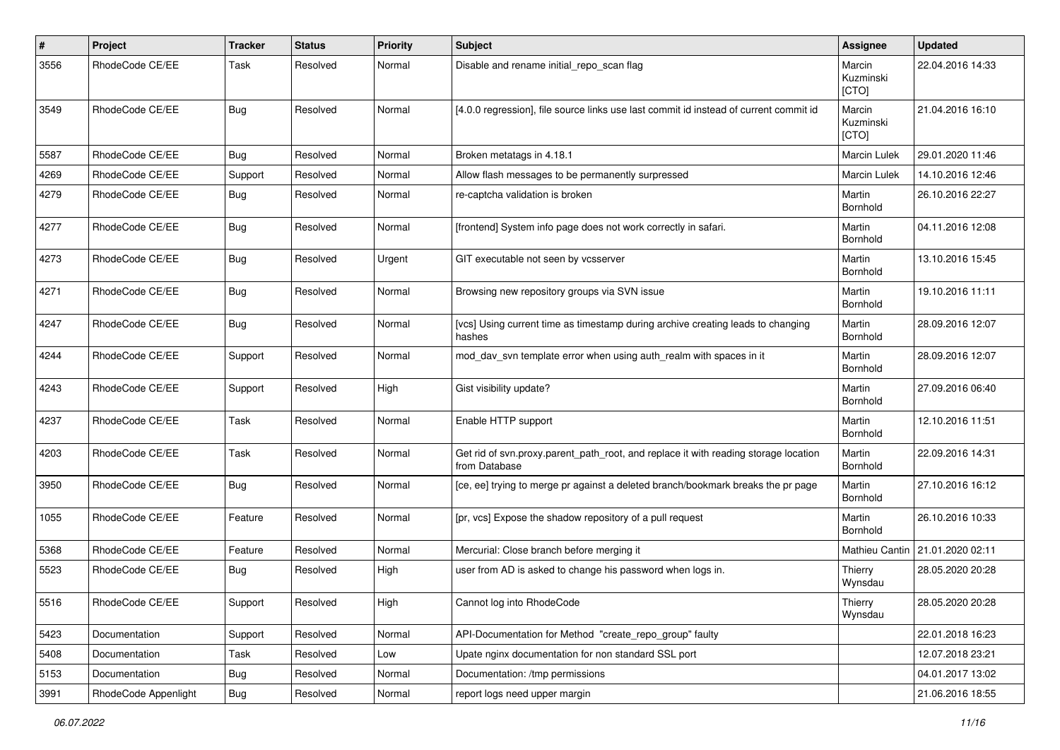| #    | Project              | <b>Tracker</b> | <b>Status</b> | <b>Priority</b> | <b>Subject</b>                                                                                       | <b>Assignee</b>              | <b>Updated</b>   |
|------|----------------------|----------------|---------------|-----------------|------------------------------------------------------------------------------------------------------|------------------------------|------------------|
| 3556 | RhodeCode CE/EE      | Task           | Resolved      | Normal          | Disable and rename initial repo scan flag                                                            | Marcin<br>Kuzminski<br>[CTO] | 22.04.2016 14:33 |
| 3549 | RhodeCode CE/EE      | Bug            | Resolved      | Normal          | [4.0.0 regression], file source links use last commit id instead of current commit id                | Marcin<br>Kuzminski<br>[CTO] | 21.04.2016 16:10 |
| 5587 | RhodeCode CE/EE      | Bug            | Resolved      | Normal          | Broken metatags in 4.18.1                                                                            | Marcin Lulek                 | 29.01.2020 11:46 |
| 4269 | RhodeCode CE/EE      | Support        | Resolved      | Normal          | Allow flash messages to be permanently surpressed                                                    | <b>Marcin Lulek</b>          | 14.10.2016 12:46 |
| 4279 | RhodeCode CE/EE      | Bug            | Resolved      | Normal          | re-captcha validation is broken                                                                      | Martin<br>Bornhold           | 26.10.2016 22:27 |
| 4277 | RhodeCode CE/EE      | Bug            | Resolved      | Normal          | [frontend] System info page does not work correctly in safari.                                       | Martin<br>Bornhold           | 04.11.2016 12:08 |
| 4273 | RhodeCode CE/EE      | Bug            | Resolved      | Urgent          | GIT executable not seen by vcsserver                                                                 | Martin<br>Bornhold           | 13.10.2016 15:45 |
| 4271 | RhodeCode CE/EE      | Bug            | Resolved      | Normal          | Browsing new repository groups via SVN issue                                                         | Martin<br>Bornhold           | 19.10.2016 11:11 |
| 4247 | RhodeCode CE/EE      | Bug            | Resolved      | Normal          | [vcs] Using current time as timestamp during archive creating leads to changing<br>hashes            | Martin<br>Bornhold           | 28.09.2016 12:07 |
| 4244 | RhodeCode CE/EE      | Support        | Resolved      | Normal          | mod_dav_svn template error when using auth_realm with spaces in it                                   | Martin<br>Bornhold           | 28.09.2016 12:07 |
| 4243 | RhodeCode CE/EE      | Support        | Resolved      | High            | Gist visibility update?                                                                              | Martin<br>Bornhold           | 27.09.2016 06:40 |
| 4237 | RhodeCode CE/EE      | Task           | Resolved      | Normal          | Enable HTTP support                                                                                  | Martin<br>Bornhold           | 12.10.2016 11:51 |
| 4203 | RhodeCode CE/EE      | Task           | Resolved      | Normal          | Get rid of svn.proxy.parent_path_root, and replace it with reading storage location<br>from Database | Martin<br>Bornhold           | 22.09.2016 14:31 |
| 3950 | RhodeCode CE/EE      | Bug            | Resolved      | Normal          | [ce, ee] trying to merge pr against a deleted branch/bookmark breaks the pr page                     | Martin<br>Bornhold           | 27.10.2016 16:12 |
| 1055 | RhodeCode CE/EE      | Feature        | Resolved      | Normal          | [pr, vcs] Expose the shadow repository of a pull request                                             | Martin<br>Bornhold           | 26.10.2016 10:33 |
| 5368 | RhodeCode CE/EE      | Feature        | Resolved      | Normal          | Mercurial: Close branch before merging it                                                            | Mathieu Cantin               | 21.01.2020 02:11 |
| 5523 | RhodeCode CE/EE      | Bug            | Resolved      | High            | user from AD is asked to change his password when logs in.                                           | Thierry<br>Wynsdau           | 28.05.2020 20:28 |
| 5516 | RhodeCode CE/EE      | Support        | Resolved      | High            | Cannot log into RhodeCode                                                                            | Thierry<br>Wynsdau           | 28.05.2020 20:28 |
| 5423 | Documentation        | Support        | Resolved      | Normal          | API-Documentation for Method "create repo group" faulty                                              |                              | 22.01.2018 16:23 |
| 5408 | Documentation        | Task           | Resolved      | Low             | Upate nginx documentation for non standard SSL port                                                  |                              | 12.07.2018 23:21 |
| 5153 | Documentation        | <b>Bug</b>     | Resolved      | Normal          | Documentation: /tmp permissions                                                                      |                              | 04.01.2017 13:02 |
| 3991 | RhodeCode Appenlight | Bug            | Resolved      | Normal          | report logs need upper margin                                                                        |                              | 21.06.2016 18:55 |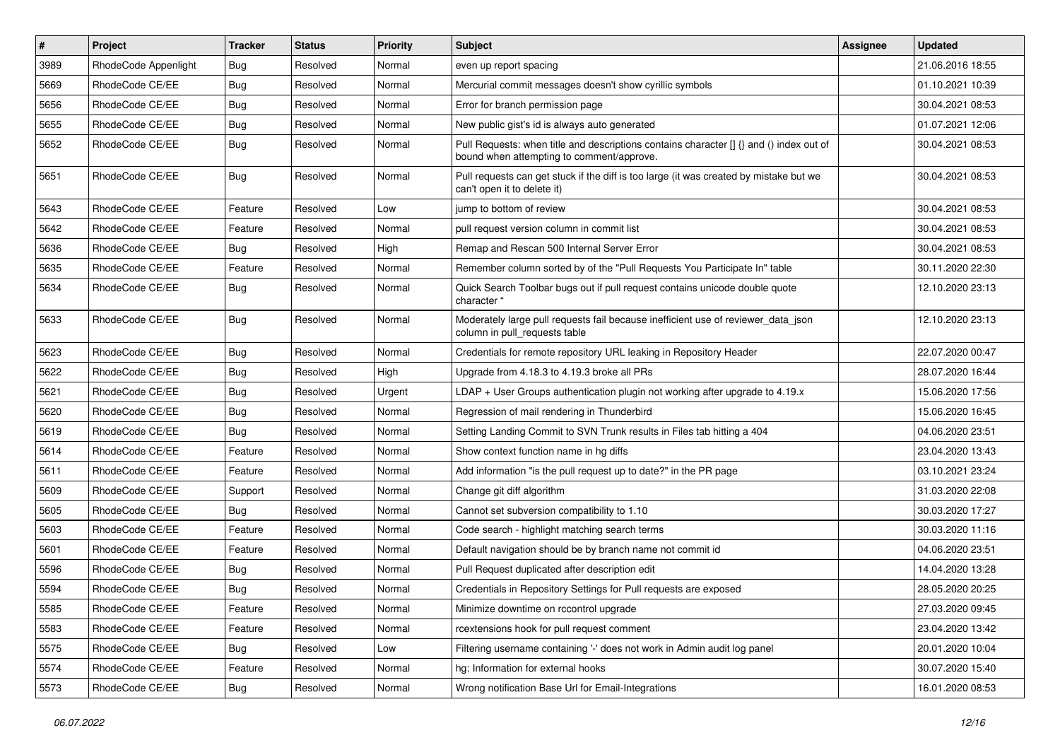| #    | Project              | <b>Tracker</b> | <b>Status</b> | <b>Priority</b> | <b>Subject</b>                                                                                                                         | <b>Assignee</b> | <b>Updated</b>   |
|------|----------------------|----------------|---------------|-----------------|----------------------------------------------------------------------------------------------------------------------------------------|-----------------|------------------|
| 3989 | RhodeCode Appenlight | Bug            | Resolved      | Normal          | even up report spacing                                                                                                                 |                 | 21.06.2016 18:55 |
| 5669 | RhodeCode CE/EE      | Bug            | Resolved      | Normal          | Mercurial commit messages doesn't show cyrillic symbols                                                                                |                 | 01.10.2021 10:39 |
| 5656 | RhodeCode CE/EE      | Bug            | Resolved      | Normal          | Error for branch permission page                                                                                                       |                 | 30.04.2021 08:53 |
| 5655 | RhodeCode CE/EE      | Bug            | Resolved      | Normal          | New public gist's id is always auto generated                                                                                          |                 | 01.07.2021 12:06 |
| 5652 | RhodeCode CE/EE      | Bug            | Resolved      | Normal          | Pull Requests: when title and descriptions contains character $\iint$ and () index out of<br>bound when attempting to comment/approve. |                 | 30.04.2021 08:53 |
| 5651 | RhodeCode CE/EE      | Bug            | Resolved      | Normal          | Pull requests can get stuck if the diff is too large (it was created by mistake but we<br>can't open it to delete it)                  |                 | 30.04.2021 08:53 |
| 5643 | RhodeCode CE/EE      | Feature        | Resolved      | Low             | jump to bottom of review                                                                                                               |                 | 30.04.2021 08:53 |
| 5642 | RhodeCode CE/EE      | Feature        | Resolved      | Normal          | pull request version column in commit list                                                                                             |                 | 30.04.2021 08:53 |
| 5636 | RhodeCode CE/EE      | Bug            | Resolved      | High            | Remap and Rescan 500 Internal Server Error                                                                                             |                 | 30.04.2021 08:53 |
| 5635 | RhodeCode CE/EE      | Feature        | Resolved      | Normal          | Remember column sorted by of the "Pull Requests You Participate In" table                                                              |                 | 30.11.2020 22:30 |
| 5634 | RhodeCode CE/EE      | Bug            | Resolved      | Normal          | Quick Search Toolbar bugs out if pull request contains unicode double quote<br>character "                                             |                 | 12.10.2020 23:13 |
| 5633 | RhodeCode CE/EE      | Bug            | Resolved      | Normal          | Moderately large pull requests fail because inefficient use of reviewer_data_json<br>column in pull requests table                     |                 | 12.10.2020 23:13 |
| 5623 | RhodeCode CE/EE      | Bug            | Resolved      | Normal          | Credentials for remote repository URL leaking in Repository Header                                                                     |                 | 22.07.2020 00:47 |
| 5622 | RhodeCode CE/EE      | Bug            | Resolved      | High            | Upgrade from 4.18.3 to 4.19.3 broke all PRs                                                                                            |                 | 28.07.2020 16:44 |
| 5621 | RhodeCode CE/EE      | Bug            | Resolved      | Urgent          | $LDAP + User Groups$ authentication plugin not working after upgrade to 4.19. $x$                                                      |                 | 15.06.2020 17:56 |
| 5620 | RhodeCode CE/EE      | Bug            | Resolved      | Normal          | Regression of mail rendering in Thunderbird                                                                                            |                 | 15.06.2020 16:45 |
| 5619 | RhodeCode CE/EE      | Bug            | Resolved      | Normal          | Setting Landing Commit to SVN Trunk results in Files tab hitting a 404                                                                 |                 | 04.06.2020 23:51 |
| 5614 | RhodeCode CE/EE      | Feature        | Resolved      | Normal          | Show context function name in hg diffs                                                                                                 |                 | 23.04.2020 13:43 |
| 5611 | RhodeCode CE/EE      | Feature        | Resolved      | Normal          | Add information "is the pull request up to date?" in the PR page                                                                       |                 | 03.10.2021 23:24 |
| 5609 | RhodeCode CE/EE      | Support        | Resolved      | Normal          | Change git diff algorithm                                                                                                              |                 | 31.03.2020 22:08 |
| 5605 | RhodeCode CE/EE      | Bug            | Resolved      | Normal          | Cannot set subversion compatibility to 1.10                                                                                            |                 | 30.03.2020 17:27 |
| 5603 | RhodeCode CE/EE      | Feature        | Resolved      | Normal          | Code search - highlight matching search terms                                                                                          |                 | 30.03.2020 11:16 |
| 5601 | RhodeCode CE/EE      | Feature        | Resolved      | Normal          | Default navigation should be by branch name not commit id                                                                              |                 | 04.06.2020 23:51 |
| 5596 | RhodeCode CE/EE      | Bug            | Resolved      | Normal          | Pull Request duplicated after description edit                                                                                         |                 | 14.04.2020 13:28 |
| 5594 | RhodeCode CE/EE      | Bug            | Resolved      | Normal          | Credentials in Repository Settings for Pull requests are exposed                                                                       |                 | 28.05.2020 20:25 |
| 5585 | RhodeCode CE/EE      | Feature        | Resolved      | Normal          | Minimize downtime on rccontrol upgrade                                                                                                 |                 | 27.03.2020 09:45 |
| 5583 | RhodeCode CE/EE      | Feature        | Resolved      | Normal          | rcextensions hook for pull request comment                                                                                             |                 | 23.04.2020 13:42 |
| 5575 | RhodeCode CE/EE      | <b>Bug</b>     | Resolved      | Low             | Filtering username containing '-' does not work in Admin audit log panel                                                               |                 | 20.01.2020 10:04 |
| 5574 | RhodeCode CE/EE      | Feature        | Resolved      | Normal          | hg: Information for external hooks                                                                                                     |                 | 30.07.2020 15:40 |
| 5573 | RhodeCode CE/EE      | <b>Bug</b>     | Resolved      | Normal          | Wrong notification Base Url for Email-Integrations                                                                                     |                 | 16.01.2020 08:53 |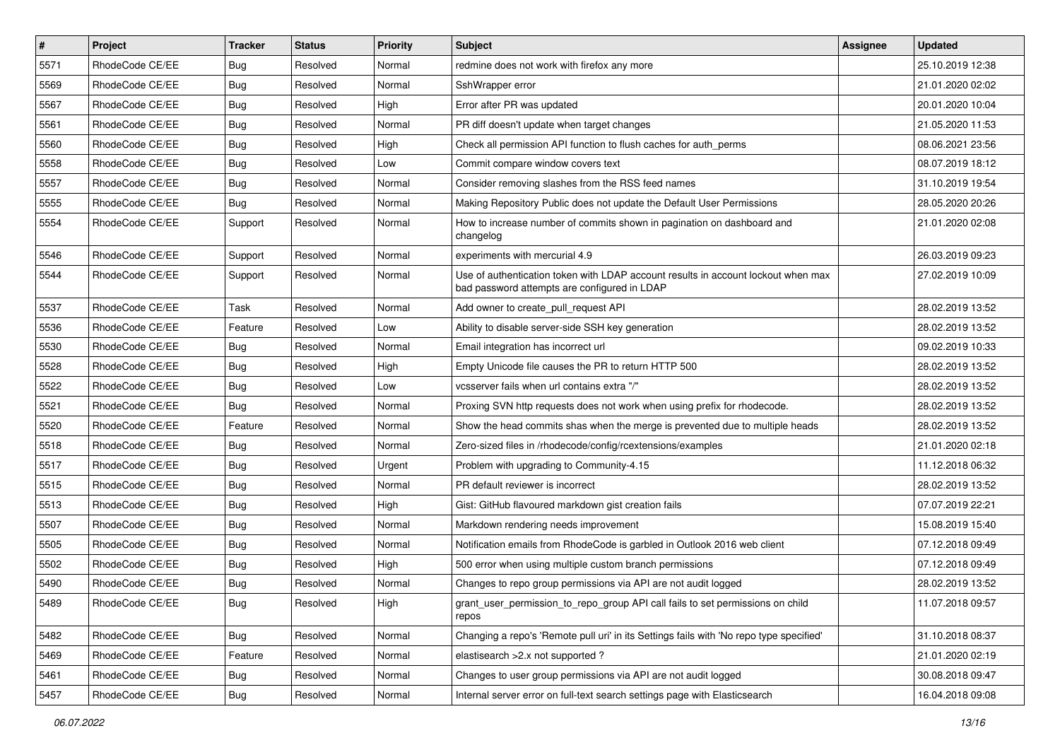| $\vert$ # | Project         | <b>Tracker</b> | <b>Status</b> | Priority | <b>Subject</b>                                                                                                                    | <b>Assignee</b> | <b>Updated</b>   |
|-----------|-----------------|----------------|---------------|----------|-----------------------------------------------------------------------------------------------------------------------------------|-----------------|------------------|
| 5571      | RhodeCode CE/EE | <b>Bug</b>     | Resolved      | Normal   | redmine does not work with firefox any more                                                                                       |                 | 25.10.2019 12:38 |
| 5569      | RhodeCode CE/EE | <b>Bug</b>     | Resolved      | Normal   | SshWrapper error                                                                                                                  |                 | 21.01.2020 02:02 |
| 5567      | RhodeCode CE/EE | <b>Bug</b>     | Resolved      | High     | Error after PR was updated                                                                                                        |                 | 20.01.2020 10:04 |
| 5561      | RhodeCode CE/EE | <b>Bug</b>     | Resolved      | Normal   | PR diff doesn't update when target changes                                                                                        |                 | 21.05.2020 11:53 |
| 5560      | RhodeCode CE/EE | <b>Bug</b>     | Resolved      | High     | Check all permission API function to flush caches for auth_perms                                                                  |                 | 08.06.2021 23:56 |
| 5558      | RhodeCode CE/EE | <b>Bug</b>     | Resolved      | Low      | Commit compare window covers text                                                                                                 |                 | 08.07.2019 18:12 |
| 5557      | RhodeCode CE/EE | <b>Bug</b>     | Resolved      | Normal   | Consider removing slashes from the RSS feed names                                                                                 |                 | 31.10.2019 19:54 |
| 5555      | RhodeCode CE/EE | <b>Bug</b>     | Resolved      | Normal   | Making Repository Public does not update the Default User Permissions                                                             |                 | 28.05.2020 20:26 |
| 5554      | RhodeCode CE/EE | Support        | Resolved      | Normal   | How to increase number of commits shown in pagination on dashboard and<br>changelog                                               |                 | 21.01.2020 02:08 |
| 5546      | RhodeCode CE/EE | Support        | Resolved      | Normal   | experiments with mercurial 4.9                                                                                                    |                 | 26.03.2019 09:23 |
| 5544      | RhodeCode CE/EE | Support        | Resolved      | Normal   | Use of authentication token with LDAP account results in account lockout when max<br>bad password attempts are configured in LDAP |                 | 27.02.2019 10:09 |
| 5537      | RhodeCode CE/EE | Task           | Resolved      | Normal   | Add owner to create pull request API                                                                                              |                 | 28.02.2019 13:52 |
| 5536      | RhodeCode CE/EE | Feature        | Resolved      | Low      | Ability to disable server-side SSH key generation                                                                                 |                 | 28.02.2019 13:52 |
| 5530      | RhodeCode CE/EE | <b>Bug</b>     | Resolved      | Normal   | Email integration has incorrect url                                                                                               |                 | 09.02.2019 10:33 |
| 5528      | RhodeCode CE/EE | <b>Bug</b>     | Resolved      | High     | Empty Unicode file causes the PR to return HTTP 500                                                                               |                 | 28.02.2019 13:52 |
| 5522      | RhodeCode CE/EE | <b>Bug</b>     | Resolved      | Low      | vcsserver fails when url contains extra "/"                                                                                       |                 | 28.02.2019 13:52 |
| 5521      | RhodeCode CE/EE | Bug            | Resolved      | Normal   | Proxing SVN http requests does not work when using prefix for rhodecode.                                                          |                 | 28.02.2019 13:52 |
| 5520      | RhodeCode CE/EE | Feature        | Resolved      | Normal   | Show the head commits shas when the merge is prevented due to multiple heads                                                      |                 | 28.02.2019 13:52 |
| 5518      | RhodeCode CE/EE | <b>Bug</b>     | Resolved      | Normal   | Zero-sized files in /rhodecode/config/rcextensions/examples                                                                       |                 | 21.01.2020 02:18 |
| 5517      | RhodeCode CE/EE | <b>Bug</b>     | Resolved      | Urgent   | Problem with upgrading to Community-4.15                                                                                          |                 | 11.12.2018 06:32 |
| 5515      | RhodeCode CE/EE | <b>Bug</b>     | Resolved      | Normal   | PR default reviewer is incorrect                                                                                                  |                 | 28.02.2019 13:52 |
| 5513      | RhodeCode CE/EE | <b>Bug</b>     | Resolved      | High     | Gist: GitHub flavoured markdown gist creation fails                                                                               |                 | 07.07.2019 22:21 |
| 5507      | RhodeCode CE/EE | <b>Bug</b>     | Resolved      | Normal   | Markdown rendering needs improvement                                                                                              |                 | 15.08.2019 15:40 |
| 5505      | RhodeCode CE/EE | Bug            | Resolved      | Normal   | Notification emails from RhodeCode is garbled in Outlook 2016 web client                                                          |                 | 07.12.2018 09:49 |
| 5502      | RhodeCode CE/EE | <b>Bug</b>     | Resolved      | High     | 500 error when using multiple custom branch permissions                                                                           |                 | 07.12.2018 09:49 |
| 5490      | RhodeCode CE/EE | Bug            | Resolved      | Normal   | Changes to repo group permissions via API are not audit logged                                                                    |                 | 28.02.2019 13:52 |
| 5489      | RhodeCode CE/EE | <b>Bug</b>     | Resolved      | High     | grant_user_permission_to_repo_group API call fails to set permissions on child<br>repos                                           |                 | 11.07.2018 09:57 |
| 5482      | RhodeCode CE/EE | <b>Bug</b>     | Resolved      | Normal   | Changing a repo's 'Remote pull uri' in its Settings fails with 'No repo type specified'                                           |                 | 31.10.2018 08:37 |
| 5469      | RhodeCode CE/EE | Feature        | Resolved      | Normal   | elastisearch > 2.x not supported ?                                                                                                |                 | 21.01.2020 02:19 |
| 5461      | RhodeCode CE/EE | <b>Bug</b>     | Resolved      | Normal   | Changes to user group permissions via API are not audit logged                                                                    |                 | 30.08.2018 09:47 |
| 5457      | RhodeCode CE/EE | Bug            | Resolved      | Normal   | Internal server error on full-text search settings page with Elasticsearch                                                        |                 | 16.04.2018 09:08 |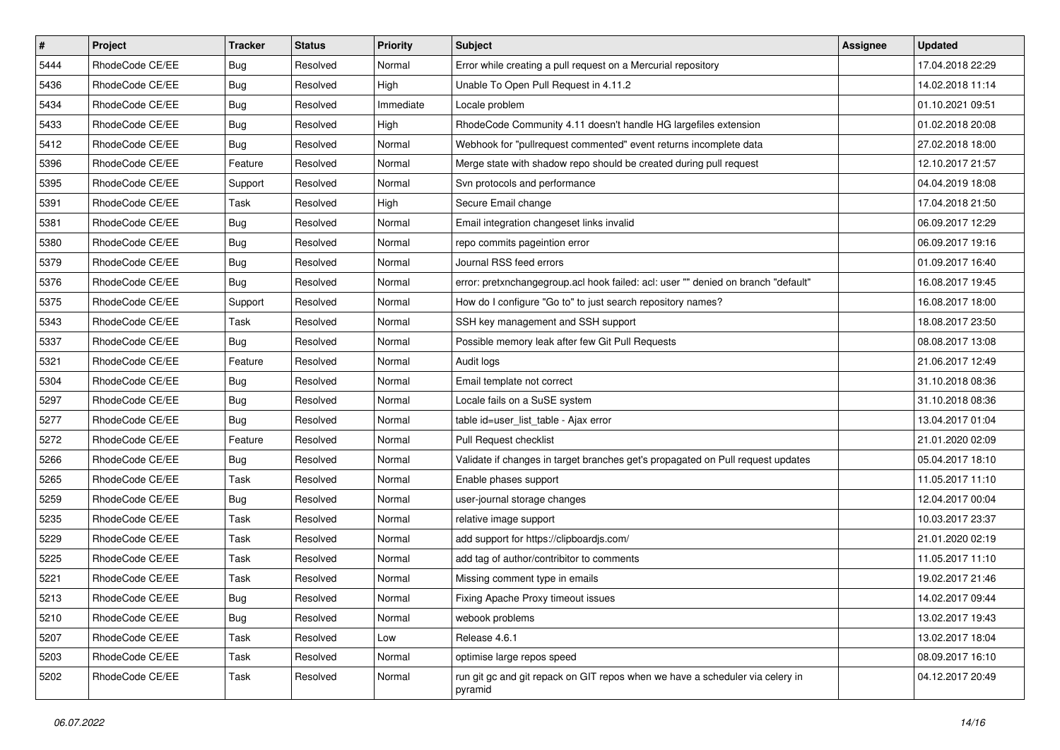| $\sharp$ | Project         | <b>Tracker</b> | <b>Status</b> | Priority  | <b>Subject</b>                                                                           | <b>Assignee</b> | <b>Updated</b>   |
|----------|-----------------|----------------|---------------|-----------|------------------------------------------------------------------------------------------|-----------------|------------------|
| 5444     | RhodeCode CE/EE | Bug            | Resolved      | Normal    | Error while creating a pull request on a Mercurial repository                            |                 | 17.04.2018 22:29 |
| 5436     | RhodeCode CE/EE | Bug            | Resolved      | High      | Unable To Open Pull Request in 4.11.2                                                    |                 | 14.02.2018 11:14 |
| 5434     | RhodeCode CE/EE | Bug            | Resolved      | Immediate | Locale problem                                                                           |                 | 01.10.2021 09:51 |
| 5433     | RhodeCode CE/EE | <b>Bug</b>     | Resolved      | High      | RhodeCode Community 4.11 doesn't handle HG largefiles extension                          |                 | 01.02.2018 20:08 |
| 5412     | RhodeCode CE/EE | Bug            | Resolved      | Normal    | Webhook for "pullrequest commented" event returns incomplete data                        |                 | 27.02.2018 18:00 |
| 5396     | RhodeCode CE/EE | Feature        | Resolved      | Normal    | Merge state with shadow repo should be created during pull request                       |                 | 12.10.2017 21:57 |
| 5395     | RhodeCode CE/EE | Support        | Resolved      | Normal    | Svn protocols and performance                                                            |                 | 04.04.2019 18:08 |
| 5391     | RhodeCode CE/EE | Task           | Resolved      | High      | Secure Email change                                                                      |                 | 17.04.2018 21:50 |
| 5381     | RhodeCode CE/EE | Bug            | Resolved      | Normal    | Email integration changeset links invalid                                                |                 | 06.09.2017 12:29 |
| 5380     | RhodeCode CE/EE | Bug            | Resolved      | Normal    | repo commits pageintion error                                                            |                 | 06.09.2017 19:16 |
| 5379     | RhodeCode CE/EE | Bug            | Resolved      | Normal    | Journal RSS feed errors                                                                  |                 | 01.09.2017 16:40 |
| 5376     | RhodeCode CE/EE | Bug            | Resolved      | Normal    | error: pretxnchangegroup.acl hook failed: acl: user "" denied on branch "default"        |                 | 16.08.2017 19:45 |
| 5375     | RhodeCode CE/EE | Support        | Resolved      | Normal    | How do I configure "Go to" to just search repository names?                              |                 | 16.08.2017 18:00 |
| 5343     | RhodeCode CE/EE | Task           | Resolved      | Normal    | SSH key management and SSH support                                                       |                 | 18.08.2017 23:50 |
| 5337     | RhodeCode CE/EE | Bug            | Resolved      | Normal    | Possible memory leak after few Git Pull Requests                                         |                 | 08.08.2017 13:08 |
| 5321     | RhodeCode CE/EE | Feature        | Resolved      | Normal    | Audit logs                                                                               |                 | 21.06.2017 12:49 |
| 5304     | RhodeCode CE/EE | <b>Bug</b>     | Resolved      | Normal    | Email template not correct                                                               |                 | 31.10.2018 08:36 |
| 5297     | RhodeCode CE/EE | Bug            | Resolved      | Normal    | Locale fails on a SuSE system                                                            |                 | 31.10.2018 08:36 |
| 5277     | RhodeCode CE/EE | Bug            | Resolved      | Normal    | table id=user list table - Ajax error                                                    |                 | 13.04.2017 01:04 |
| 5272     | RhodeCode CE/EE | Feature        | Resolved      | Normal    | Pull Request checklist                                                                   |                 | 21.01.2020 02:09 |
| 5266     | RhodeCode CE/EE | Bug            | Resolved      | Normal    | Validate if changes in target branches get's propagated on Pull request updates          |                 | 05.04.2017 18:10 |
| 5265     | RhodeCode CE/EE | Task           | Resolved      | Normal    | Enable phases support                                                                    |                 | 11.05.2017 11:10 |
| 5259     | RhodeCode CE/EE | Bug            | Resolved      | Normal    | user-journal storage changes                                                             |                 | 12.04.2017 00:04 |
| 5235     | RhodeCode CE/EE | Task           | Resolved      | Normal    | relative image support                                                                   |                 | 10.03.2017 23:37 |
| 5229     | RhodeCode CE/EE | Task           | Resolved      | Normal    | add support for https://clipboardjs.com/                                                 |                 | 21.01.2020 02:19 |
| 5225     | RhodeCode CE/EE | Task           | Resolved      | Normal    | add tag of author/contribitor to comments                                                |                 | 11.05.2017 11:10 |
| 5221     | RhodeCode CE/EE | Task           | Resolved      | Normal    | Missing comment type in emails                                                           |                 | 19.02.2017 21:46 |
| 5213     | RhodeCode CE/EE | <b>Bug</b>     | Resolved      | Normal    | Fixing Apache Proxy timeout issues                                                       |                 | 14.02.2017 09:44 |
| 5210     | RhodeCode CE/EE | Bug            | Resolved      | Normal    | webook problems                                                                          |                 | 13.02.2017 19:43 |
| 5207     | RhodeCode CE/EE | Task           | Resolved      | Low       | Release 4.6.1                                                                            |                 | 13.02.2017 18:04 |
| 5203     | RhodeCode CE/EE | Task           | Resolved      | Normal    | optimise large repos speed                                                               |                 | 08.09.2017 16:10 |
| 5202     | RhodeCode CE/EE | Task           | Resolved      | Normal    | run git gc and git repack on GIT repos when we have a scheduler via celery in<br>pyramid |                 | 04.12.2017 20:49 |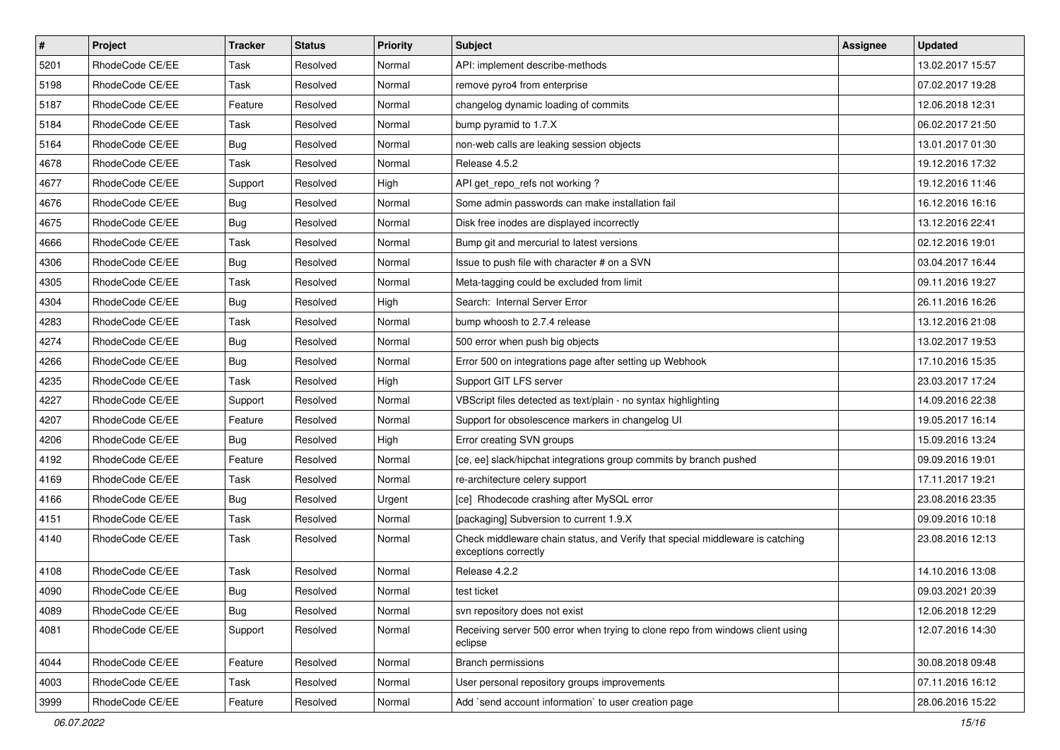| $\vert$ # | Project         | <b>Tracker</b> | <b>Status</b> | <b>Priority</b> | <b>Subject</b>                                                                                        | <b>Assignee</b> | <b>Updated</b>   |
|-----------|-----------------|----------------|---------------|-----------------|-------------------------------------------------------------------------------------------------------|-----------------|------------------|
| 5201      | RhodeCode CE/EE | Task           | Resolved      | Normal          | API: implement describe-methods                                                                       |                 | 13.02.2017 15:57 |
| 5198      | RhodeCode CE/EE | Task           | Resolved      | Normal          | remove pyro4 from enterprise                                                                          |                 | 07.02.2017 19:28 |
| 5187      | RhodeCode CE/EE | Feature        | Resolved      | Normal          | changelog dynamic loading of commits                                                                  |                 | 12.06.2018 12:31 |
| 5184      | RhodeCode CE/EE | Task           | Resolved      | Normal          | bump pyramid to 1.7.X                                                                                 |                 | 06.02.2017 21:50 |
| 5164      | RhodeCode CE/EE | <b>Bug</b>     | Resolved      | Normal          | non-web calls are leaking session objects                                                             |                 | 13.01.2017 01:30 |
| 4678      | RhodeCode CE/EE | Task           | Resolved      | Normal          | Release 4.5.2                                                                                         |                 | 19.12.2016 17:32 |
| 4677      | RhodeCode CE/EE | Support        | Resolved      | High            | API get repo refs not working?                                                                        |                 | 19.12.2016 11:46 |
| 4676      | RhodeCode CE/EE | <b>Bug</b>     | Resolved      | Normal          | Some admin passwords can make installation fail                                                       |                 | 16.12.2016 16:16 |
| 4675      | RhodeCode CE/EE | <b>Bug</b>     | Resolved      | Normal          | Disk free inodes are displayed incorrectly                                                            |                 | 13.12.2016 22:41 |
| 4666      | RhodeCode CE/EE | Task           | Resolved      | Normal          | Bump git and mercurial to latest versions                                                             |                 | 02.12.2016 19:01 |
| 4306      | RhodeCode CE/EE | Bug            | Resolved      | Normal          | Issue to push file with character # on a SVN                                                          |                 | 03.04.2017 16:44 |
| 4305      | RhodeCode CE/EE | Task           | Resolved      | Normal          | Meta-tagging could be excluded from limit                                                             |                 | 09.11.2016 19:27 |
| 4304      | RhodeCode CE/EE | <b>Bug</b>     | Resolved      | High            | Search: Internal Server Error                                                                         |                 | 26.11.2016 16:26 |
| 4283      | RhodeCode CE/EE | Task           | Resolved      | Normal          | bump whoosh to 2.7.4 release                                                                          |                 | 13.12.2016 21:08 |
| 4274      | RhodeCode CE/EE | <b>Bug</b>     | Resolved      | Normal          | 500 error when push big objects                                                                       |                 | 13.02.2017 19:53 |
| 4266      | RhodeCode CE/EE | Bug            | Resolved      | Normal          | Error 500 on integrations page after setting up Webhook                                               |                 | 17.10.2016 15:35 |
| 4235      | RhodeCode CE/EE | Task           | Resolved      | High            | Support GIT LFS server                                                                                |                 | 23.03.2017 17:24 |
| 4227      | RhodeCode CE/EE | Support        | Resolved      | Normal          | VBScript files detected as text/plain - no syntax highlighting                                        |                 | 14.09.2016 22:38 |
| 4207      | RhodeCode CE/EE | Feature        | Resolved      | Normal          | Support for obsolescence markers in changelog UI                                                      |                 | 19.05.2017 16:14 |
| 4206      | RhodeCode CE/EE | Bug            | Resolved      | High            | Error creating SVN groups                                                                             |                 | 15.09.2016 13:24 |
| 4192      | RhodeCode CE/EE | Feature        | Resolved      | Normal          | [ce, ee] slack/hipchat integrations group commits by branch pushed                                    |                 | 09.09.2016 19:01 |
| 4169      | RhodeCode CE/EE | Task           | Resolved      | Normal          | re-architecture celery support                                                                        |                 | 17.11.2017 19:21 |
| 4166      | RhodeCode CE/EE | <b>Bug</b>     | Resolved      | Urgent          | [ce] Rhodecode crashing after MySQL error                                                             |                 | 23.08.2016 23:35 |
| 4151      | RhodeCode CE/EE | Task           | Resolved      | Normal          | [packaging] Subversion to current 1.9.X                                                               |                 | 09.09.2016 10:18 |
| 4140      | RhodeCode CE/EE | Task           | Resolved      | Normal          | Check middleware chain status, and Verify that special middleware is catching<br>exceptions correctly |                 | 23.08.2016 12:13 |
| 4108      | RhodeCode CE/EE | Task           | Resolved      | Normal          | Release 4.2.2                                                                                         |                 | 14.10.2016 13:08 |
| 4090      | RhodeCode CE/EE | <b>Bug</b>     | Resolved      | Normal          | test ticket                                                                                           |                 | 09.03.2021 20:39 |
| 4089      | RhodeCode CE/EE | <b>Bug</b>     | Resolved      | Normal          | svn repository does not exist                                                                         |                 | 12.06.2018 12:29 |
| 4081      | RhodeCode CE/EE | Support        | Resolved      | Normal          | Receiving server 500 error when trying to clone repo from windows client using<br>eclipse             |                 | 12.07.2016 14:30 |
| 4044      | RhodeCode CE/EE | Feature        | Resolved      | Normal          | <b>Branch permissions</b>                                                                             |                 | 30.08.2018 09:48 |
| 4003      | RhodeCode CE/EE | Task           | Resolved      | Normal          | User personal repository groups improvements                                                          |                 | 07.11.2016 16:12 |
| 3999      | RhodeCode CE/EE | Feature        | Resolved      | Normal          | Add `send account information` to user creation page                                                  |                 | 28.06.2016 15:22 |